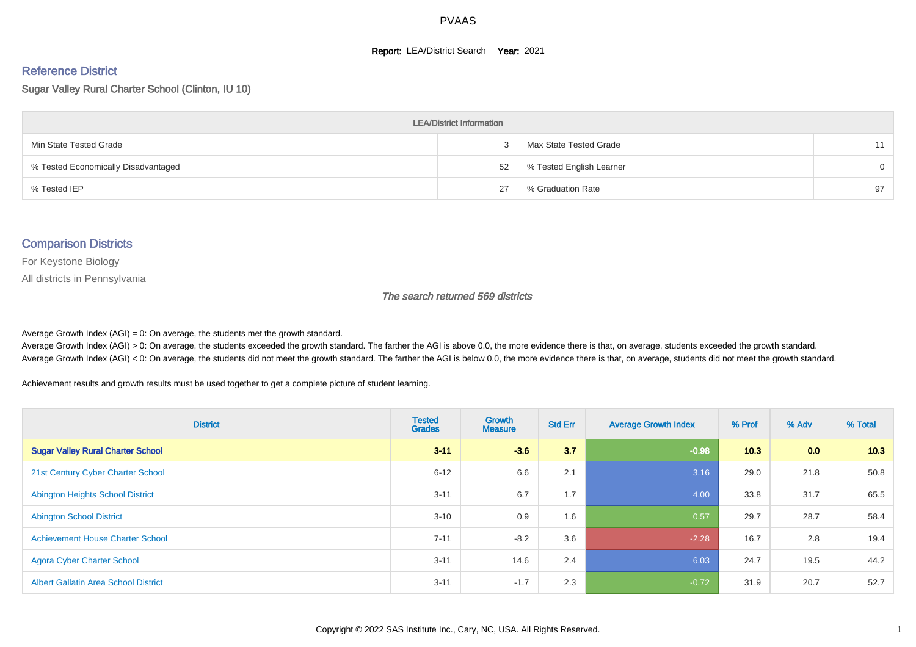#### **Report: LEA/District Search Year: 2021**

# Reference District

Sugar Valley Rural Charter School (Clinton, IU 10)

| <b>LEA/District Information</b>     |    |                          |          |  |  |  |  |  |  |  |
|-------------------------------------|----|--------------------------|----------|--|--|--|--|--|--|--|
| Min State Tested Grade              |    | Max State Tested Grade   | 11       |  |  |  |  |  |  |  |
| % Tested Economically Disadvantaged | 52 | % Tested English Learner | $\Omega$ |  |  |  |  |  |  |  |
| % Tested IEP                        | 27 | % Graduation Rate        | 97       |  |  |  |  |  |  |  |

#### Comparison Districts

For Keystone Biology

All districts in Pennsylvania

The search returned 569 districts

Average Growth Index  $(AGI) = 0$ : On average, the students met the growth standard.

Average Growth Index (AGI) > 0: On average, the students exceeded the growth standard. The farther the AGI is above 0.0, the more evidence there is that, on average, students exceeded the growth standard. Average Growth Index (AGI) < 0: On average, the students did not meet the growth standard. The farther the AGI is below 0.0, the more evidence there is that, on average, students did not meet the growth standard.

Achievement results and growth results must be used together to get a complete picture of student learning.

| <b>District</b>                             | <b>Tested</b><br><b>Grades</b> | <b>Growth</b><br><b>Measure</b> | <b>Std Err</b> | <b>Average Growth Index</b> | % Prof | % Adv | % Total |
|---------------------------------------------|--------------------------------|---------------------------------|----------------|-----------------------------|--------|-------|---------|
| <b>Sugar Valley Rural Charter School</b>    | $3 - 11$                       | $-3.6$                          | 3.7            | $-0.98$                     | 10.3   | 0.0   | 10.3    |
| 21st Century Cyber Charter School           | $6 - 12$                       | 6.6                             | 2.1            | 3.16                        | 29.0   | 21.8  | 50.8    |
| <b>Abington Heights School District</b>     | $3 - 11$                       | 6.7                             | 1.7            | 4.00                        | 33.8   | 31.7  | 65.5    |
| <b>Abington School District</b>             | $3 - 10$                       | 0.9                             | 1.6            | 0.57                        | 29.7   | 28.7  | 58.4    |
| <b>Achievement House Charter School</b>     | $7 - 11$                       | $-8.2$                          | 3.6            | $-2.28$                     | 16.7   | 2.8   | 19.4    |
| <b>Agora Cyber Charter School</b>           | $3 - 11$                       | 14.6                            | 2.4            | 6.03                        | 24.7   | 19.5  | 44.2    |
| <b>Albert Gallatin Area School District</b> | $3 - 11$                       | $-1.7$                          | 2.3            | $-0.72$                     | 31.9   | 20.7  | 52.7    |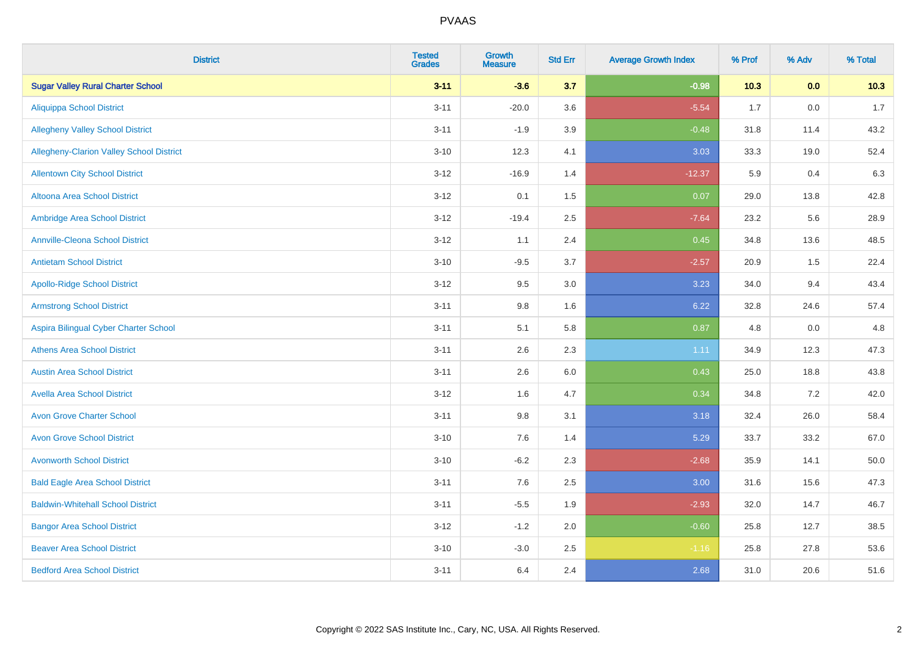| <b>District</b>                          | <b>Tested</b><br><b>Grades</b> | <b>Growth</b><br><b>Measure</b> | <b>Std Err</b> | <b>Average Growth Index</b> | % Prof | % Adv | % Total |
|------------------------------------------|--------------------------------|---------------------------------|----------------|-----------------------------|--------|-------|---------|
| <b>Sugar Valley Rural Charter School</b> | $3 - 11$                       | $-3.6$                          | 3.7            | $-0.98$                     | 10.3   | 0.0   | 10.3    |
| <b>Aliquippa School District</b>         | $3 - 11$                       | $-20.0$                         | 3.6            | $-5.54$                     | 1.7    | 0.0   | 1.7     |
| <b>Allegheny Valley School District</b>  | $3 - 11$                       | $-1.9$                          | 3.9            | $-0.48$                     | 31.8   | 11.4  | 43.2    |
| Allegheny-Clarion Valley School District | $3 - 10$                       | 12.3                            | 4.1            | 3.03                        | 33.3   | 19.0  | 52.4    |
| <b>Allentown City School District</b>    | $3 - 12$                       | $-16.9$                         | 1.4            | $-12.37$                    | 5.9    | 0.4   | 6.3     |
| <b>Altoona Area School District</b>      | $3 - 12$                       | 0.1                             | 1.5            | 0.07                        | 29.0   | 13.8  | 42.8    |
| Ambridge Area School District            | $3 - 12$                       | $-19.4$                         | 2.5            | $-7.64$                     | 23.2   | 5.6   | 28.9    |
| <b>Annville-Cleona School District</b>   | $3 - 12$                       | 1.1                             | 2.4            | 0.45                        | 34.8   | 13.6  | 48.5    |
| <b>Antietam School District</b>          | $3 - 10$                       | $-9.5$                          | 3.7            | $-2.57$                     | 20.9   | 1.5   | 22.4    |
| <b>Apollo-Ridge School District</b>      | $3 - 12$                       | 9.5                             | 3.0            | 3.23                        | 34.0   | 9.4   | 43.4    |
| <b>Armstrong School District</b>         | $3 - 11$                       | 9.8                             | 1.6            | 6.22                        | 32.8   | 24.6  | 57.4    |
| Aspira Bilingual Cyber Charter School    | $3 - 11$                       | 5.1                             | 5.8            | 0.87                        | 4.8    | 0.0   | 4.8     |
| <b>Athens Area School District</b>       | $3 - 11$                       | 2.6                             | 2.3            | 1.11                        | 34.9   | 12.3  | 47.3    |
| <b>Austin Area School District</b>       | $3 - 11$                       | 2.6                             | 6.0            | 0.43                        | 25.0   | 18.8  | 43.8    |
| <b>Avella Area School District</b>       | $3 - 12$                       | 1.6                             | 4.7            | 0.34                        | 34.8   | 7.2   | 42.0    |
| <b>Avon Grove Charter School</b>         | $3 - 11$                       | $9.8\,$                         | 3.1            | 3.18                        | 32.4   | 26.0  | 58.4    |
| <b>Avon Grove School District</b>        | $3 - 10$                       | 7.6                             | 1.4            | 5.29                        | 33.7   | 33.2  | 67.0    |
| <b>Avonworth School District</b>         | $3 - 10$                       | $-6.2$                          | 2.3            | $-2.68$                     | 35.9   | 14.1  | 50.0    |
| <b>Bald Eagle Area School District</b>   | $3 - 11$                       | 7.6                             | 2.5            | 3.00                        | 31.6   | 15.6  | 47.3    |
| <b>Baldwin-Whitehall School District</b> | $3 - 11$                       | $-5.5$                          | 1.9            | $-2.93$                     | 32.0   | 14.7  | 46.7    |
| <b>Bangor Area School District</b>       | $3 - 12$                       | $-1.2$                          | 2.0            | $-0.60$                     | 25.8   | 12.7  | 38.5    |
| <b>Beaver Area School District</b>       | $3 - 10$                       | $-3.0$                          | 2.5            | $-1.16$                     | 25.8   | 27.8  | 53.6    |
| <b>Bedford Area School District</b>      | $3 - 11$                       | 6.4                             | 2.4            | 2.68                        | 31.0   | 20.6  | 51.6    |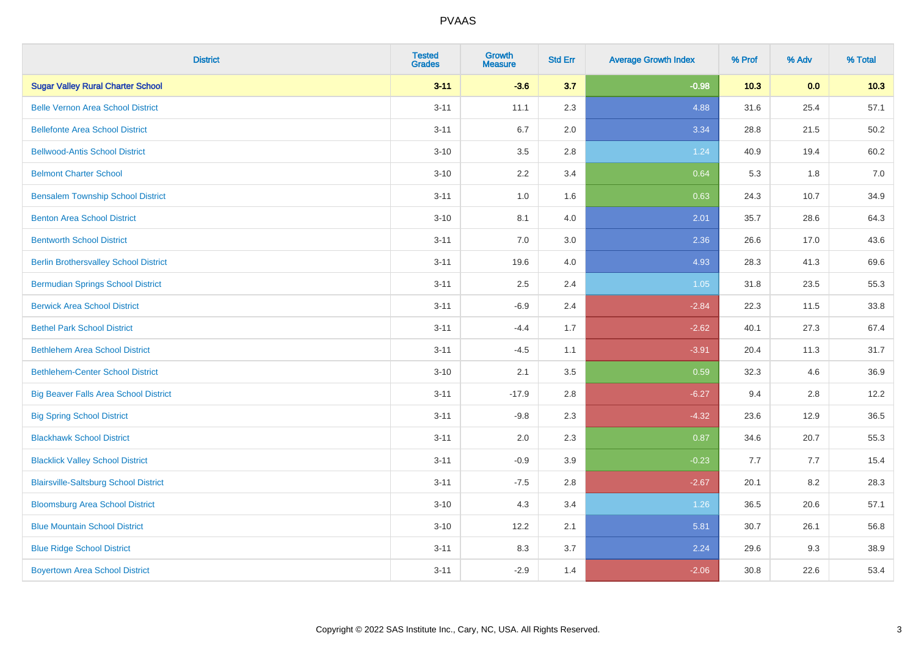| <b>District</b>                              | <b>Tested</b><br><b>Grades</b> | <b>Growth</b><br><b>Measure</b> | <b>Std Err</b> | <b>Average Growth Index</b> | % Prof | % Adv | % Total |
|----------------------------------------------|--------------------------------|---------------------------------|----------------|-----------------------------|--------|-------|---------|
| <b>Sugar Valley Rural Charter School</b>     | $3 - 11$                       | $-3.6$                          | 3.7            | $-0.98$                     | $10.3$ | 0.0   | 10.3    |
| <b>Belle Vernon Area School District</b>     | $3 - 11$                       | 11.1                            | 2.3            | 4.88                        | 31.6   | 25.4  | 57.1    |
| <b>Bellefonte Area School District</b>       | $3 - 11$                       | 6.7                             | 2.0            | 3.34                        | 28.8   | 21.5  | 50.2    |
| <b>Bellwood-Antis School District</b>        | $3 - 10$                       | $3.5\,$                         | 2.8            | 1.24                        | 40.9   | 19.4  | 60.2    |
| <b>Belmont Charter School</b>                | $3 - 10$                       | 2.2                             | 3.4            | 0.64                        | 5.3    | 1.8   | 7.0     |
| <b>Bensalem Township School District</b>     | $3 - 11$                       | $1.0\,$                         | 1.6            | 0.63                        | 24.3   | 10.7  | 34.9    |
| <b>Benton Area School District</b>           | $3 - 10$                       | 8.1                             | 4.0            | 2.01                        | 35.7   | 28.6  | 64.3    |
| <b>Bentworth School District</b>             | $3 - 11$                       | 7.0                             | 3.0            | 2.36                        | 26.6   | 17.0  | 43.6    |
| <b>Berlin Brothersvalley School District</b> | $3 - 11$                       | 19.6                            | 4.0            | 4.93                        | 28.3   | 41.3  | 69.6    |
| <b>Bermudian Springs School District</b>     | $3 - 11$                       | $2.5\,$                         | 2.4            | 1.05                        | 31.8   | 23.5  | 55.3    |
| <b>Berwick Area School District</b>          | $3 - 11$                       | $-6.9$                          | 2.4            | $-2.84$                     | 22.3   | 11.5  | 33.8    |
| <b>Bethel Park School District</b>           | $3 - 11$                       | $-4.4$                          | 1.7            | $-2.62$                     | 40.1   | 27.3  | 67.4    |
| <b>Bethlehem Area School District</b>        | $3 - 11$                       | $-4.5$                          | 1.1            | $-3.91$                     | 20.4   | 11.3  | 31.7    |
| <b>Bethlehem-Center School District</b>      | $3 - 10$                       | 2.1                             | 3.5            | 0.59                        | 32.3   | 4.6   | 36.9    |
| <b>Big Beaver Falls Area School District</b> | $3 - 11$                       | $-17.9$                         | 2.8            | $-6.27$                     | 9.4    | 2.8   | 12.2    |
| <b>Big Spring School District</b>            | $3 - 11$                       | $-9.8$                          | 2.3            | $-4.32$                     | 23.6   | 12.9  | 36.5    |
| <b>Blackhawk School District</b>             | $3 - 11$                       | 2.0                             | 2.3            | 0.87                        | 34.6   | 20.7  | 55.3    |
| <b>Blacklick Valley School District</b>      | $3 - 11$                       | $-0.9$                          | 3.9            | $-0.23$                     | 7.7    | 7.7   | 15.4    |
| <b>Blairsville-Saltsburg School District</b> | $3 - 11$                       | $-7.5$                          | 2.8            | $-2.67$                     | 20.1   | 8.2   | 28.3    |
| <b>Bloomsburg Area School District</b>       | $3 - 10$                       | 4.3                             | 3.4            | 1.26                        | 36.5   | 20.6  | 57.1    |
| <b>Blue Mountain School District</b>         | $3 - 10$                       | 12.2                            | 2.1            | 5.81                        | 30.7   | 26.1  | 56.8    |
| <b>Blue Ridge School District</b>            | $3 - 11$                       | 8.3                             | 3.7            | 2.24                        | 29.6   | 9.3   | 38.9    |
| <b>Boyertown Area School District</b>        | $3 - 11$                       | $-2.9$                          | 1.4            | $-2.06$                     | 30.8   | 22.6  | 53.4    |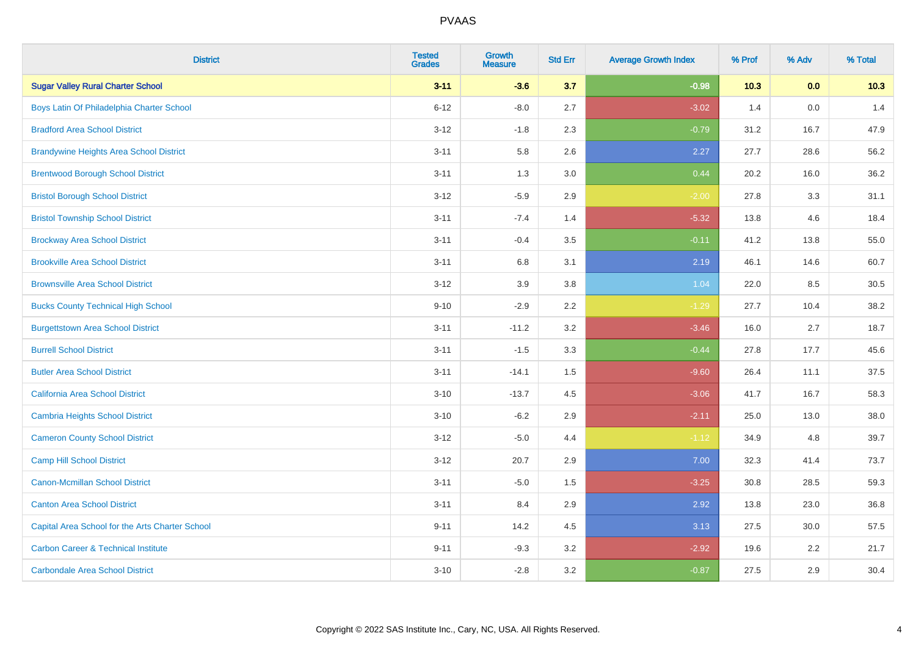| <b>District</b>                                 | <b>Tested</b><br><b>Grades</b> | <b>Growth</b><br><b>Measure</b> | <b>Std Err</b> | <b>Average Growth Index</b> | % Prof | % Adv | % Total |
|-------------------------------------------------|--------------------------------|---------------------------------|----------------|-----------------------------|--------|-------|---------|
| <b>Sugar Valley Rural Charter School</b>        | $3 - 11$                       | $-3.6$                          | 3.7            | $-0.98$                     | 10.3   | 0.0   | 10.3    |
| Boys Latin Of Philadelphia Charter School       | $6 - 12$                       | $-8.0$                          | 2.7            | $-3.02$                     | 1.4    | 0.0   | 1.4     |
| <b>Bradford Area School District</b>            | $3 - 12$                       | $-1.8$                          | 2.3            | $-0.79$                     | 31.2   | 16.7  | 47.9    |
| <b>Brandywine Heights Area School District</b>  | $3 - 11$                       | 5.8                             | 2.6            | 2.27                        | 27.7   | 28.6  | 56.2    |
| <b>Brentwood Borough School District</b>        | $3 - 11$                       | 1.3                             | 3.0            | 0.44                        | 20.2   | 16.0  | 36.2    |
| <b>Bristol Borough School District</b>          | $3 - 12$                       | $-5.9$                          | 2.9            | $-2.00$                     | 27.8   | 3.3   | 31.1    |
| <b>Bristol Township School District</b>         | $3 - 11$                       | $-7.4$                          | 1.4            | $-5.32$                     | 13.8   | 4.6   | 18.4    |
| <b>Brockway Area School District</b>            | $3 - 11$                       | $-0.4$                          | 3.5            | $-0.11$                     | 41.2   | 13.8  | 55.0    |
| <b>Brookville Area School District</b>          | $3 - 11$                       | 6.8                             | 3.1            | 2.19                        | 46.1   | 14.6  | 60.7    |
| <b>Brownsville Area School District</b>         | $3 - 12$                       | 3.9                             | 3.8            | 1.04                        | 22.0   | 8.5   | 30.5    |
| <b>Bucks County Technical High School</b>       | $9 - 10$                       | $-2.9$                          | 2.2            | $-1.29$                     | 27.7   | 10.4  | 38.2    |
| <b>Burgettstown Area School District</b>        | $3 - 11$                       | $-11.2$                         | 3.2            | $-3.46$                     | 16.0   | 2.7   | 18.7    |
| <b>Burrell School District</b>                  | $3 - 11$                       | $-1.5$                          | 3.3            | $-0.44$                     | 27.8   | 17.7  | 45.6    |
| <b>Butler Area School District</b>              | $3 - 11$                       | $-14.1$                         | 1.5            | $-9.60$                     | 26.4   | 11.1  | 37.5    |
| California Area School District                 | $3 - 10$                       | $-13.7$                         | 4.5            | $-3.06$                     | 41.7   | 16.7  | 58.3    |
| <b>Cambria Heights School District</b>          | $3 - 10$                       | $-6.2$                          | 2.9            | $-2.11$                     | 25.0   | 13.0  | 38.0    |
| <b>Cameron County School District</b>           | $3 - 12$                       | $-5.0$                          | 4.4            | $-1.12$                     | 34.9   | 4.8   | 39.7    |
| <b>Camp Hill School District</b>                | $3 - 12$                       | 20.7                            | 2.9            | 7.00                        | 32.3   | 41.4  | 73.7    |
| <b>Canon-Mcmillan School District</b>           | $3 - 11$                       | $-5.0$                          | $1.5$          | $-3.25$                     | 30.8   | 28.5  | 59.3    |
| <b>Canton Area School District</b>              | $3 - 11$                       | 8.4                             | 2.9            | 2.92                        | 13.8   | 23.0  | 36.8    |
| Capital Area School for the Arts Charter School | $9 - 11$                       | 14.2                            | 4.5            | 3.13                        | 27.5   | 30.0  | 57.5    |
| <b>Carbon Career &amp; Technical Institute</b>  | $9 - 11$                       | $-9.3$                          | 3.2            | $-2.92$                     | 19.6   | 2.2   | 21.7    |
| <b>Carbondale Area School District</b>          | $3 - 10$                       | $-2.8$                          | 3.2            | $-0.87$                     | 27.5   | 2.9   | 30.4    |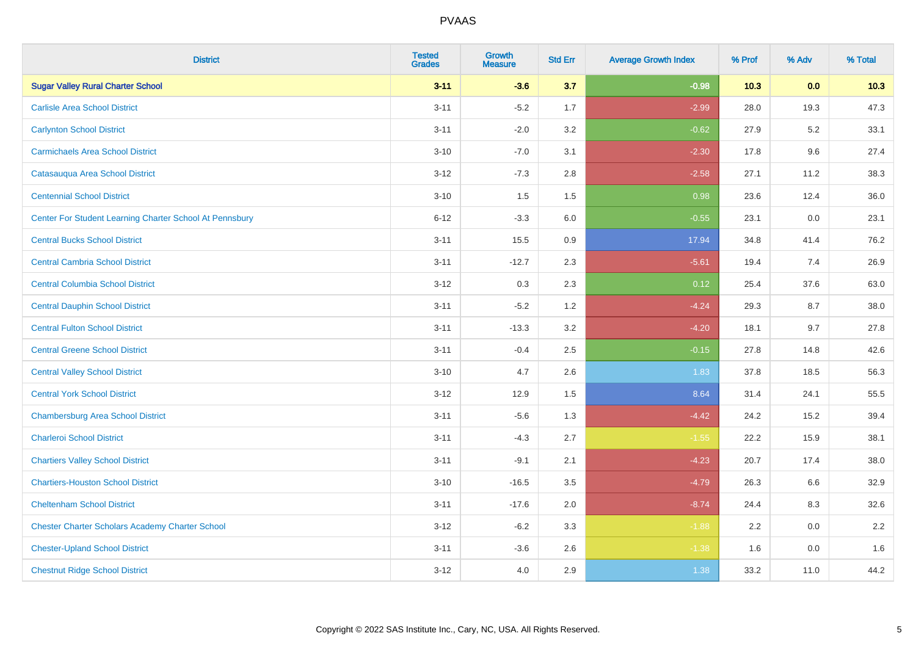| <b>District</b>                                         | <b>Tested</b><br><b>Grades</b> | <b>Growth</b><br><b>Measure</b> | <b>Std Err</b> | <b>Average Growth Index</b> | % Prof | % Adv | % Total |
|---------------------------------------------------------|--------------------------------|---------------------------------|----------------|-----------------------------|--------|-------|---------|
| <b>Sugar Valley Rural Charter School</b>                | $3 - 11$                       | $-3.6$                          | 3.7            | $-0.98$                     | 10.3   | 0.0   | 10.3    |
| <b>Carlisle Area School District</b>                    | $3 - 11$                       | $-5.2$                          | 1.7            | $-2.99$                     | 28.0   | 19.3  | 47.3    |
| <b>Carlynton School District</b>                        | $3 - 11$                       | $-2.0$                          | 3.2            | $-0.62$                     | 27.9   | 5.2   | 33.1    |
| <b>Carmichaels Area School District</b>                 | $3 - 10$                       | $-7.0$                          | 3.1            | $-2.30$                     | 17.8   | 9.6   | 27.4    |
| Catasauqua Area School District                         | $3 - 12$                       | $-7.3$                          | 2.8            | $-2.58$                     | 27.1   | 11.2  | 38.3    |
| <b>Centennial School District</b>                       | $3 - 10$                       | 1.5                             | 1.5            | 0.98                        | 23.6   | 12.4  | 36.0    |
| Center For Student Learning Charter School At Pennsbury | $6 - 12$                       | $-3.3$                          | 6.0            | $-0.55$                     | 23.1   | 0.0   | 23.1    |
| <b>Central Bucks School District</b>                    | $3 - 11$                       | 15.5                            | 0.9            | 17.94                       | 34.8   | 41.4  | 76.2    |
| <b>Central Cambria School District</b>                  | $3 - 11$                       | $-12.7$                         | 2.3            | $-5.61$                     | 19.4   | 7.4   | 26.9    |
| <b>Central Columbia School District</b>                 | $3-12$                         | 0.3                             | 2.3            | 0.12                        | 25.4   | 37.6  | 63.0    |
| <b>Central Dauphin School District</b>                  | $3 - 11$                       | $-5.2$                          | 1.2            | $-4.24$                     | 29.3   | 8.7   | 38.0    |
| <b>Central Fulton School District</b>                   | $3 - 11$                       | $-13.3$                         | 3.2            | $-4.20$                     | 18.1   | 9.7   | 27.8    |
| <b>Central Greene School District</b>                   | $3 - 11$                       | $-0.4$                          | 2.5            | $-0.15$                     | 27.8   | 14.8  | 42.6    |
| <b>Central Valley School District</b>                   | $3 - 10$                       | 4.7                             | 2.6            | 1.83                        | 37.8   | 18.5  | 56.3    |
| <b>Central York School District</b>                     | $3-12$                         | 12.9                            | 1.5            | 8.64                        | 31.4   | 24.1  | 55.5    |
| <b>Chambersburg Area School District</b>                | $3 - 11$                       | $-5.6$                          | 1.3            | $-4.42$                     | 24.2   | 15.2  | 39.4    |
| <b>Charleroi School District</b>                        | $3 - 11$                       | $-4.3$                          | 2.7            | $-1.55$                     | 22.2   | 15.9  | 38.1    |
| <b>Chartiers Valley School District</b>                 | $3 - 11$                       | $-9.1$                          | 2.1            | $-4.23$                     | 20.7   | 17.4  | 38.0    |
| <b>Chartiers-Houston School District</b>                | $3 - 10$                       | $-16.5$                         | 3.5            | $-4.79$                     | 26.3   | 6.6   | 32.9    |
| <b>Cheltenham School District</b>                       | $3 - 11$                       | $-17.6$                         | 2.0            | $-8.74$                     | 24.4   | 8.3   | 32.6    |
| <b>Chester Charter Scholars Academy Charter School</b>  | $3 - 12$                       | $-6.2$                          | 3.3            | $-1.88$                     | 2.2    | 0.0   | 2.2     |
| <b>Chester-Upland School District</b>                   | $3 - 11$                       | $-3.6$                          | 2.6            | $-1.38$                     | 1.6    | 0.0   | 1.6     |
| <b>Chestnut Ridge School District</b>                   | $3 - 12$                       | 4.0                             | 2.9            | 1.38                        | 33.2   | 11.0  | 44.2    |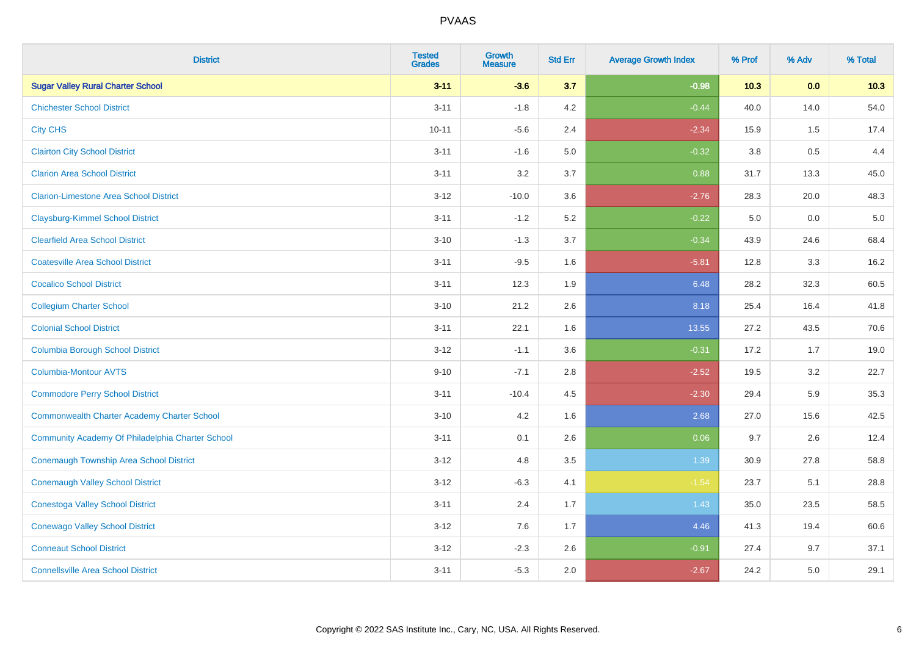| <b>District</b>                                    | <b>Tested</b><br><b>Grades</b> | <b>Growth</b><br><b>Measure</b> | <b>Std Err</b> | <b>Average Growth Index</b> | % Prof  | % Adv   | % Total |
|----------------------------------------------------|--------------------------------|---------------------------------|----------------|-----------------------------|---------|---------|---------|
| <b>Sugar Valley Rural Charter School</b>           | $3 - 11$                       | $-3.6$                          | 3.7            | $-0.98$                     | 10.3    | 0.0     | 10.3    |
| <b>Chichester School District</b>                  | $3 - 11$                       | $-1.8$                          | 4.2            | $-0.44$                     | 40.0    | 14.0    | 54.0    |
| <b>City CHS</b>                                    | $10 - 11$                      | $-5.6$                          | 2.4            | $-2.34$                     | 15.9    | 1.5     | 17.4    |
| <b>Clairton City School District</b>               | $3 - 11$                       | $-1.6$                          | $5.0\,$        | $-0.32$                     | $3.8\,$ | 0.5     | 4.4     |
| <b>Clarion Area School District</b>                | $3 - 11$                       | 3.2                             | 3.7            | 0.88                        | 31.7    | 13.3    | 45.0    |
| <b>Clarion-Limestone Area School District</b>      | $3 - 12$                       | $-10.0$                         | 3.6            | $-2.76$                     | 28.3    | 20.0    | 48.3    |
| <b>Claysburg-Kimmel School District</b>            | $3 - 11$                       | $-1.2$                          | 5.2            | $-0.22$                     | 5.0     | $0.0\,$ | $5.0$   |
| <b>Clearfield Area School District</b>             | $3 - 10$                       | $-1.3$                          | 3.7            | $-0.34$                     | 43.9    | 24.6    | 68.4    |
| <b>Coatesville Area School District</b>            | $3 - 11$                       | $-9.5$                          | 1.6            | $-5.81$                     | 12.8    | 3.3     | 16.2    |
| <b>Cocalico School District</b>                    | $3 - 11$                       | 12.3                            | 1.9            | 6.48                        | 28.2    | 32.3    | 60.5    |
| <b>Collegium Charter School</b>                    | $3 - 10$                       | 21.2                            | 2.6            | 8.18                        | 25.4    | 16.4    | 41.8    |
| <b>Colonial School District</b>                    | $3 - 11$                       | 22.1                            | 1.6            | 13.55                       | 27.2    | 43.5    | 70.6    |
| <b>Columbia Borough School District</b>            | $3 - 12$                       | $-1.1$                          | 3.6            | $-0.31$                     | 17.2    | 1.7     | 19.0    |
| <b>Columbia-Montour AVTS</b>                       | $9 - 10$                       | $-7.1$                          | 2.8            | $-2.52$                     | 19.5    | 3.2     | 22.7    |
| <b>Commodore Perry School District</b>             | $3 - 11$                       | $-10.4$                         | 4.5            | $-2.30$                     | 29.4    | 5.9     | 35.3    |
| <b>Commonwealth Charter Academy Charter School</b> | $3 - 10$                       | 4.2                             | 1.6            | 2.68                        | 27.0    | 15.6    | 42.5    |
| Community Academy Of Philadelphia Charter School   | $3 - 11$                       | 0.1                             | 2.6            | 0.06                        | 9.7     | 2.6     | 12.4    |
| <b>Conemaugh Township Area School District</b>     | $3 - 12$                       | 4.8                             | 3.5            | 1.39                        | 30.9    | 27.8    | 58.8    |
| <b>Conemaugh Valley School District</b>            | $3 - 12$                       | $-6.3$                          | 4.1            | $-1.54$                     | 23.7    | 5.1     | 28.8    |
| <b>Conestoga Valley School District</b>            | $3 - 11$                       | 2.4                             | 1.7            | 1.43                        | 35.0    | 23.5    | 58.5    |
| <b>Conewago Valley School District</b>             | $3 - 12$                       | 7.6                             | 1.7            | 4.46                        | 41.3    | 19.4    | 60.6    |
| <b>Conneaut School District</b>                    | $3 - 12$                       | $-2.3$                          | 2.6            | $-0.91$                     | 27.4    | 9.7     | 37.1    |
| <b>Connellsville Area School District</b>          | $3 - 11$                       | $-5.3$                          | 2.0            | $-2.67$                     | 24.2    | 5.0     | 29.1    |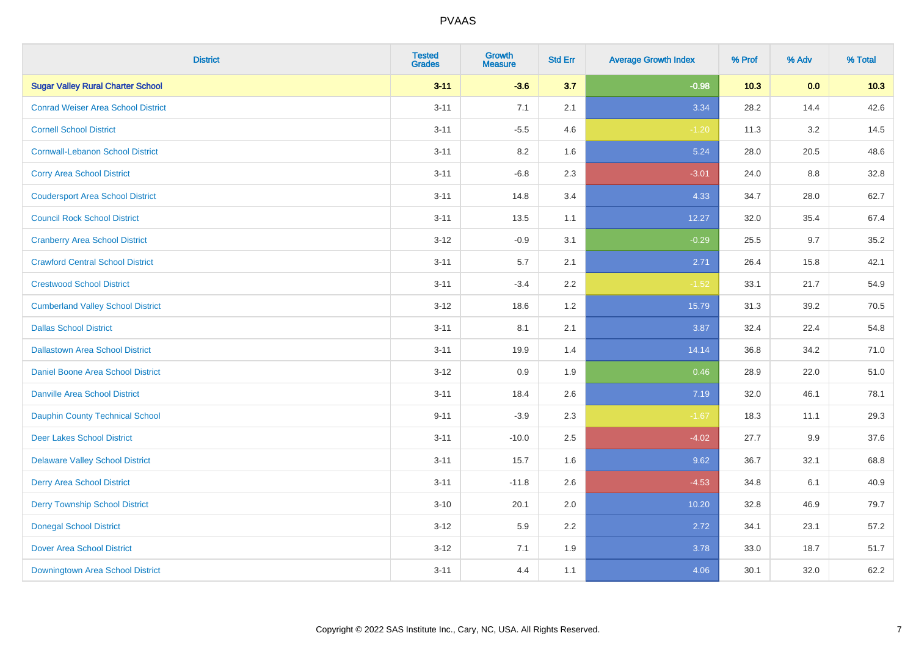| <b>District</b>                           | <b>Tested</b><br><b>Grades</b> | <b>Growth</b><br><b>Measure</b> | <b>Std Err</b> | <b>Average Growth Index</b> | % Prof | % Adv | % Total |
|-------------------------------------------|--------------------------------|---------------------------------|----------------|-----------------------------|--------|-------|---------|
| <b>Sugar Valley Rural Charter School</b>  | $3 - 11$                       | $-3.6$                          | 3.7            | $-0.98$                     | 10.3   | 0.0   | 10.3    |
| <b>Conrad Weiser Area School District</b> | $3 - 11$                       | 7.1                             | 2.1            | 3.34                        | 28.2   | 14.4  | 42.6    |
| <b>Cornell School District</b>            | $3 - 11$                       | $-5.5$                          | 4.6            | $-1.20$                     | 11.3   | 3.2   | 14.5    |
| <b>Cornwall-Lebanon School District</b>   | $3 - 11$                       | 8.2                             | 1.6            | 5.24                        | 28.0   | 20.5  | 48.6    |
| <b>Corry Area School District</b>         | $3 - 11$                       | $-6.8$                          | 2.3            | $-3.01$                     | 24.0   | 8.8   | 32.8    |
| <b>Coudersport Area School District</b>   | $3 - 11$                       | 14.8                            | 3.4            | 4.33                        | 34.7   | 28.0  | 62.7    |
| <b>Council Rock School District</b>       | $3 - 11$                       | 13.5                            | 1.1            | 12.27                       | 32.0   | 35.4  | 67.4    |
| <b>Cranberry Area School District</b>     | $3 - 12$                       | $-0.9$                          | 3.1            | $-0.29$                     | 25.5   | 9.7   | 35.2    |
| <b>Crawford Central School District</b>   | $3 - 11$                       | 5.7                             | 2.1            | 2.71                        | 26.4   | 15.8  | 42.1    |
| <b>Crestwood School District</b>          | $3 - 11$                       | $-3.4$                          | 2.2            | $-1.52$                     | 33.1   | 21.7  | 54.9    |
| <b>Cumberland Valley School District</b>  | $3 - 12$                       | 18.6                            | 1.2            | 15.79                       | 31.3   | 39.2  | 70.5    |
| <b>Dallas School District</b>             | $3 - 11$                       | 8.1                             | 2.1            | 3.87                        | 32.4   | 22.4  | 54.8    |
| <b>Dallastown Area School District</b>    | $3 - 11$                       | 19.9                            | 1.4            | 14.14                       | 36.8   | 34.2  | 71.0    |
| <b>Daniel Boone Area School District</b>  | $3 - 12$                       | 0.9                             | 1.9            | 0.46                        | 28.9   | 22.0  | 51.0    |
| <b>Danville Area School District</b>      | $3 - 11$                       | 18.4                            | 2.6            | 7.19                        | 32.0   | 46.1  | 78.1    |
| <b>Dauphin County Technical School</b>    | $9 - 11$                       | $-3.9$                          | 2.3            | $-1.67$                     | 18.3   | 11.1  | 29.3    |
| <b>Deer Lakes School District</b>         | $3 - 11$                       | $-10.0$                         | 2.5            | $-4.02$                     | 27.7   | 9.9   | 37.6    |
| <b>Delaware Valley School District</b>    | $3 - 11$                       | 15.7                            | 1.6            | 9.62                        | 36.7   | 32.1  | 68.8    |
| <b>Derry Area School District</b>         | $3 - 11$                       | $-11.8$                         | 2.6            | $-4.53$                     | 34.8   | 6.1   | 40.9    |
| <b>Derry Township School District</b>     | $3 - 10$                       | 20.1                            | 2.0            | 10.20                       | 32.8   | 46.9  | 79.7    |
| <b>Donegal School District</b>            | $3 - 12$                       | 5.9                             | 2.2            | 2.72                        | 34.1   | 23.1  | 57.2    |
| <b>Dover Area School District</b>         | $3 - 12$                       | 7.1                             | 1.9            | 3.78                        | 33.0   | 18.7  | 51.7    |
| Downingtown Area School District          | $3 - 11$                       | 4.4                             | 1.1            | 4.06                        | 30.1   | 32.0  | 62.2    |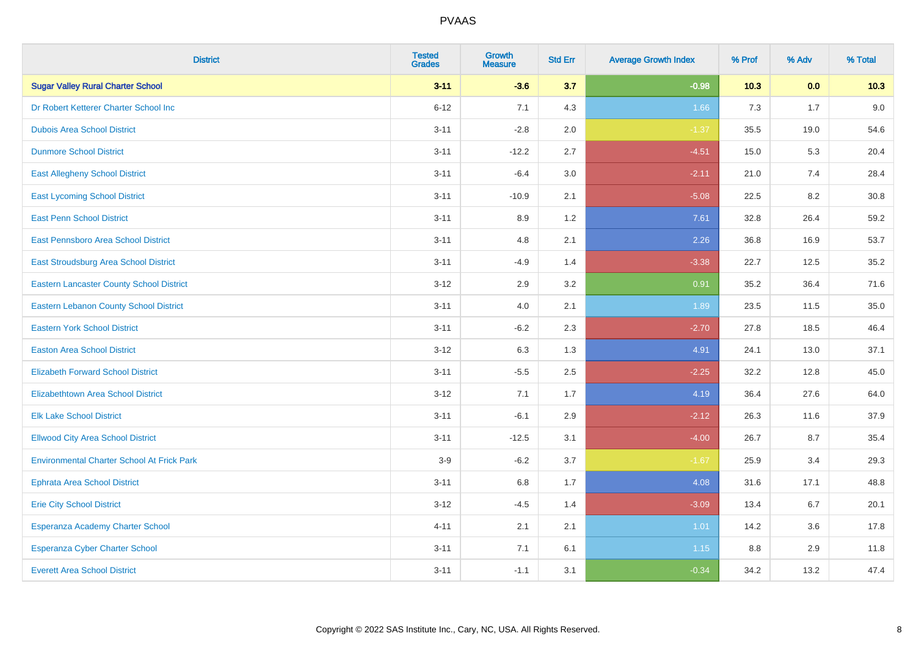| <b>District</b>                                   | <b>Tested</b><br><b>Grades</b> | <b>Growth</b><br><b>Measure</b> | <b>Std Err</b> | <b>Average Growth Index</b> | % Prof | % Adv | % Total |
|---------------------------------------------------|--------------------------------|---------------------------------|----------------|-----------------------------|--------|-------|---------|
| <b>Sugar Valley Rural Charter School</b>          | $3 - 11$                       | $-3.6$                          | 3.7            | $-0.98$                     | 10.3   | 0.0   | 10.3    |
| Dr Robert Ketterer Charter School Inc             | $6 - 12$                       | 7.1                             | 4.3            | 1.66                        | 7.3    | 1.7   | 9.0     |
| <b>Dubois Area School District</b>                | $3 - 11$                       | $-2.8$                          | 2.0            | $-1.37$                     | 35.5   | 19.0  | 54.6    |
| <b>Dunmore School District</b>                    | $3 - 11$                       | $-12.2$                         | 2.7            | $-4.51$                     | 15.0   | 5.3   | 20.4    |
| <b>East Allegheny School District</b>             | $3 - 11$                       | $-6.4$                          | 3.0            | $-2.11$                     | 21.0   | 7.4   | 28.4    |
| <b>East Lycoming School District</b>              | $3 - 11$                       | $-10.9$                         | 2.1            | $-5.08$                     | 22.5   | 8.2   | 30.8    |
| <b>East Penn School District</b>                  | $3 - 11$                       | 8.9                             | 1.2            | 7.61                        | 32.8   | 26.4  | 59.2    |
| East Pennsboro Area School District               | $3 - 11$                       | 4.8                             | 2.1            | 2.26                        | 36.8   | 16.9  | 53.7    |
| East Stroudsburg Area School District             | $3 - 11$                       | $-4.9$                          | 1.4            | $-3.38$                     | 22.7   | 12.5  | 35.2    |
| <b>Eastern Lancaster County School District</b>   | $3 - 12$                       | 2.9                             | 3.2            | 0.91                        | 35.2   | 36.4  | 71.6    |
| <b>Eastern Lebanon County School District</b>     | $3 - 11$                       | 4.0                             | 2.1            | 1.89                        | 23.5   | 11.5  | 35.0    |
| <b>Eastern York School District</b>               | $3 - 11$                       | $-6.2$                          | 2.3            | $-2.70$                     | 27.8   | 18.5  | 46.4    |
| <b>Easton Area School District</b>                | $3 - 12$                       | 6.3                             | 1.3            | 4.91                        | 24.1   | 13.0  | 37.1    |
| <b>Elizabeth Forward School District</b>          | $3 - 11$                       | $-5.5$                          | 2.5            | $-2.25$                     | 32.2   | 12.8  | 45.0    |
| <b>Elizabethtown Area School District</b>         | $3 - 12$                       | 7.1                             | 1.7            | 4.19                        | 36.4   | 27.6  | 64.0    |
| <b>Elk Lake School District</b>                   | $3 - 11$                       | $-6.1$                          | 2.9            | $-2.12$                     | 26.3   | 11.6  | 37.9    |
| <b>Ellwood City Area School District</b>          | $3 - 11$                       | $-12.5$                         | 3.1            | $-4.00$                     | 26.7   | 8.7   | 35.4    |
| <b>Environmental Charter School At Frick Park</b> | $3-9$                          | $-6.2$                          | 3.7            | $-1.67$                     | 25.9   | 3.4   | 29.3    |
| <b>Ephrata Area School District</b>               | $3 - 11$                       | $6.8\,$                         | 1.7            | 4.08                        | 31.6   | 17.1  | 48.8    |
| <b>Erie City School District</b>                  | $3 - 12$                       | $-4.5$                          | 1.4            | $-3.09$                     | 13.4   | 6.7   | 20.1    |
| Esperanza Academy Charter School                  | $4 - 11$                       | 2.1                             | 2.1            | 1.01                        | 14.2   | 3.6   | 17.8    |
| Esperanza Cyber Charter School                    | $3 - 11$                       | 7.1                             | 6.1            | 1.15                        | 8.8    | 2.9   | 11.8    |
| <b>Everett Area School District</b>               | $3 - 11$                       | $-1.1$                          | 3.1            | $-0.34$                     | 34.2   | 13.2  | 47.4    |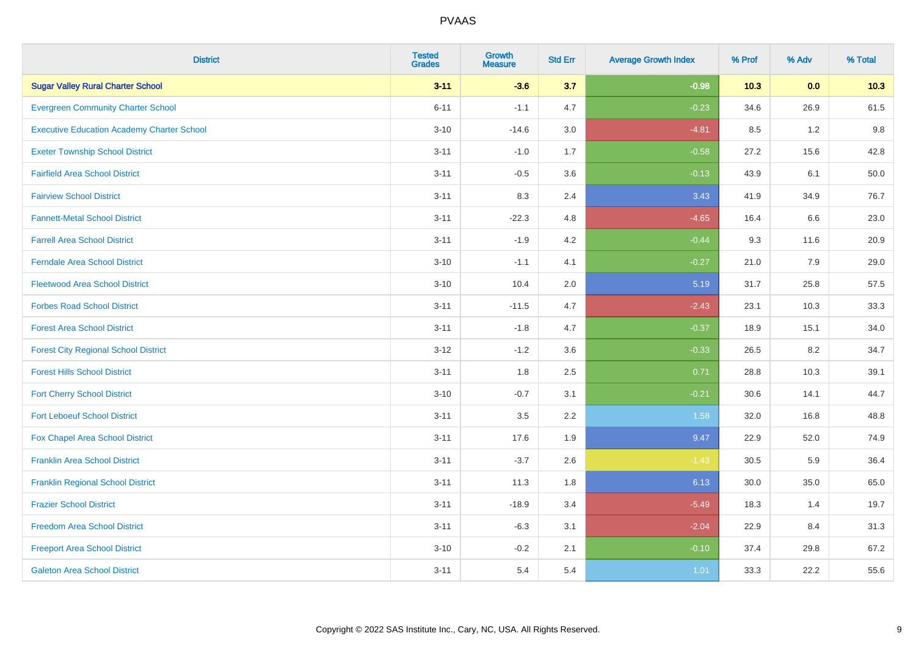| <b>District</b>                                   | <b>Tested</b><br><b>Grades</b> | <b>Growth</b><br><b>Measure</b> | <b>Std Err</b> | <b>Average Growth Index</b> | % Prof | % Adv | % Total |
|---------------------------------------------------|--------------------------------|---------------------------------|----------------|-----------------------------|--------|-------|---------|
| <b>Sugar Valley Rural Charter School</b>          | $3 - 11$                       | $-3.6$                          | 3.7            | $-0.98$                     | 10.3   | 0.0   | 10.3    |
| <b>Evergreen Community Charter School</b>         | $6 - 11$                       | $-1.1$                          | 4.7            | $-0.23$                     | 34.6   | 26.9  | 61.5    |
| <b>Executive Education Academy Charter School</b> | $3 - 10$                       | $-14.6$                         | 3.0            | $-4.81$                     | 8.5    | 1.2   | 9.8     |
| <b>Exeter Township School District</b>            | $3 - 11$                       | $-1.0$                          | 1.7            | $-0.58$                     | 27.2   | 15.6  | 42.8    |
| <b>Fairfield Area School District</b>             | $3 - 11$                       | $-0.5$                          | 3.6            | $-0.13$                     | 43.9   | 6.1   | 50.0    |
| <b>Fairview School District</b>                   | $3 - 11$                       | 8.3                             | 2.4            | 3.43                        | 41.9   | 34.9  | 76.7    |
| <b>Fannett-Metal School District</b>              | $3 - 11$                       | $-22.3$                         | 4.8            | $-4.65$                     | 16.4   | 6.6   | 23.0    |
| <b>Farrell Area School District</b>               | $3 - 11$                       | $-1.9$                          | 4.2            | $-0.44$                     | 9.3    | 11.6  | 20.9    |
| <b>Ferndale Area School District</b>              | $3 - 10$                       | $-1.1$                          | 4.1            | $-0.27$                     | 21.0   | 7.9   | 29.0    |
| <b>Fleetwood Area School District</b>             | $3 - 10$                       | 10.4                            | 2.0            | 5.19                        | 31.7   | 25.8  | 57.5    |
| <b>Forbes Road School District</b>                | $3 - 11$                       | $-11.5$                         | 4.7            | $-2.43$                     | 23.1   | 10.3  | 33.3    |
| <b>Forest Area School District</b>                | $3 - 11$                       | $-1.8$                          | 4.7            | $-0.37$                     | 18.9   | 15.1  | 34.0    |
| <b>Forest City Regional School District</b>       | $3 - 12$                       | $-1.2$                          | 3.6            | $-0.33$                     | 26.5   | 8.2   | 34.7    |
| <b>Forest Hills School District</b>               | $3 - 11$                       | 1.8                             | 2.5            | 0.71                        | 28.8   | 10.3  | 39.1    |
| <b>Fort Cherry School District</b>                | $3 - 10$                       | $-0.7$                          | 3.1            | $-0.21$                     | 30.6   | 14.1  | 44.7    |
| <b>Fort Leboeuf School District</b>               | $3 - 11$                       | 3.5                             | 2.2            | 1.58                        | 32.0   | 16.8  | 48.8    |
| Fox Chapel Area School District                   | $3 - 11$                       | 17.6                            | 1.9            | 9.47                        | 22.9   | 52.0  | 74.9    |
| <b>Franklin Area School District</b>              | $3 - 11$                       | $-3.7$                          | 2.6            | $-1.43$                     | 30.5   | 5.9   | 36.4    |
| <b>Franklin Regional School District</b>          | $3 - 11$                       | 11.3                            | 1.8            | 6.13                        | 30.0   | 35.0  | 65.0    |
| <b>Frazier School District</b>                    | $3 - 11$                       | $-18.9$                         | 3.4            | $-5.49$                     | 18.3   | 1.4   | 19.7    |
| <b>Freedom Area School District</b>               | $3 - 11$                       | $-6.3$                          | 3.1            | $-2.04$                     | 22.9   | 8.4   | 31.3    |
| <b>Freeport Area School District</b>              | $3 - 10$                       | $-0.2$                          | 2.1            | $-0.10$                     | 37.4   | 29.8  | 67.2    |
| <b>Galeton Area School District</b>               | $3 - 11$                       | 5.4                             | 5.4            | 1.01                        | 33.3   | 22.2  | 55.6    |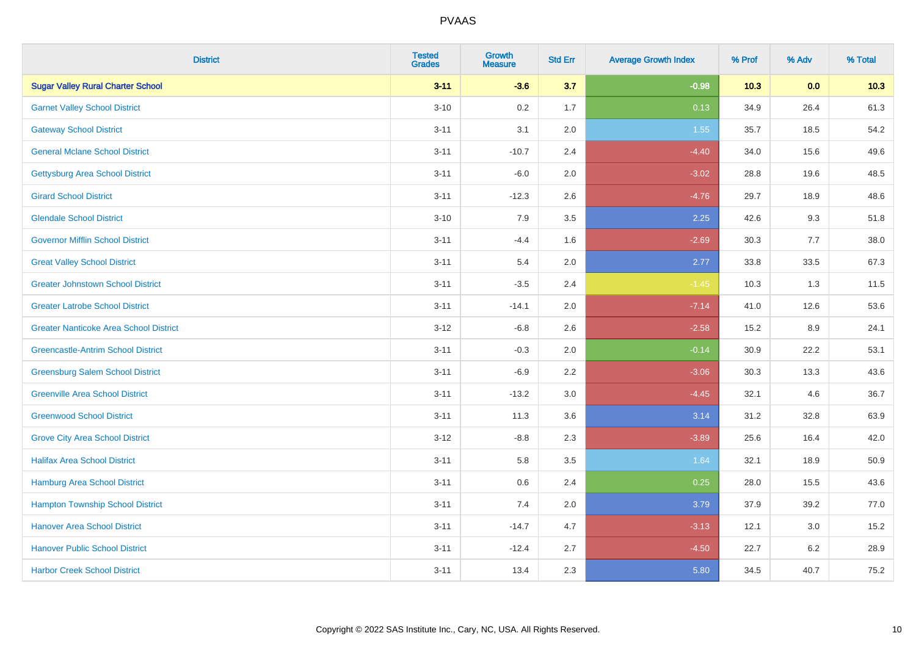| <b>District</b>                               | <b>Tested</b><br><b>Grades</b> | <b>Growth</b><br><b>Measure</b> | <b>Std Err</b> | <b>Average Growth Index</b> | % Prof | % Adv | % Total |
|-----------------------------------------------|--------------------------------|---------------------------------|----------------|-----------------------------|--------|-------|---------|
| <b>Sugar Valley Rural Charter School</b>      | $3 - 11$                       | $-3.6$                          | 3.7            | $-0.98$                     | 10.3   | 0.0   | 10.3    |
| <b>Garnet Valley School District</b>          | $3 - 10$                       | 0.2                             | 1.7            | 0.13                        | 34.9   | 26.4  | 61.3    |
| <b>Gateway School District</b>                | $3 - 11$                       | 3.1                             | 2.0            | 1.55                        | 35.7   | 18.5  | 54.2    |
| <b>General Mclane School District</b>         | $3 - 11$                       | $-10.7$                         | 2.4            | $-4.40$                     | 34.0   | 15.6  | 49.6    |
| <b>Gettysburg Area School District</b>        | $3 - 11$                       | $-6.0$                          | 2.0            | $-3.02$                     | 28.8   | 19.6  | 48.5    |
| <b>Girard School District</b>                 | $3 - 11$                       | $-12.3$                         | 2.6            | $-4.76$                     | 29.7   | 18.9  | 48.6    |
| <b>Glendale School District</b>               | $3 - 10$                       | 7.9                             | 3.5            | 2.25                        | 42.6   | 9.3   | 51.8    |
| <b>Governor Mifflin School District</b>       | $3 - 11$                       | $-4.4$                          | 1.6            | $-2.69$                     | 30.3   | 7.7   | 38.0    |
| <b>Great Valley School District</b>           | $3 - 11$                       | 5.4                             | 2.0            | 2.77                        | 33.8   | 33.5  | 67.3    |
| <b>Greater Johnstown School District</b>      | $3 - 11$                       | $-3.5$                          | 2.4            | $-1.45$                     | 10.3   | 1.3   | 11.5    |
| <b>Greater Latrobe School District</b>        | $3 - 11$                       | $-14.1$                         | 2.0            | $-7.14$                     | 41.0   | 12.6  | 53.6    |
| <b>Greater Nanticoke Area School District</b> | $3 - 12$                       | $-6.8$                          | 2.6            | $-2.58$                     | 15.2   | 8.9   | 24.1    |
| <b>Greencastle-Antrim School District</b>     | $3 - 11$                       | $-0.3$                          | 2.0            | $-0.14$                     | 30.9   | 22.2  | 53.1    |
| <b>Greensburg Salem School District</b>       | $3 - 11$                       | $-6.9$                          | 2.2            | $-3.06$                     | 30.3   | 13.3  | 43.6    |
| <b>Greenville Area School District</b>        | $3 - 11$                       | $-13.2$                         | 3.0            | $-4.45$                     | 32.1   | 4.6   | 36.7    |
| <b>Greenwood School District</b>              | $3 - 11$                       | 11.3                            | 3.6            | 3.14                        | 31.2   | 32.8  | 63.9    |
| <b>Grove City Area School District</b>        | $3 - 12$                       | $-8.8$                          | 2.3            | $-3.89$                     | 25.6   | 16.4  | 42.0    |
| <b>Halifax Area School District</b>           | $3 - 11$                       | 5.8                             | 3.5            | 1.64                        | 32.1   | 18.9  | 50.9    |
| Hamburg Area School District                  | $3 - 11$                       | 0.6                             | 2.4            | 0.25                        | 28.0   | 15.5  | 43.6    |
| <b>Hampton Township School District</b>       | $3 - 11$                       | 7.4                             | 2.0            | 3.79                        | 37.9   | 39.2  | 77.0    |
| <b>Hanover Area School District</b>           | $3 - 11$                       | $-14.7$                         | 4.7            | $-3.13$                     | 12.1   | 3.0   | 15.2    |
| <b>Hanover Public School District</b>         | $3 - 11$                       | $-12.4$                         | 2.7            | $-4.50$                     | 22.7   | 6.2   | 28.9    |
| <b>Harbor Creek School District</b>           | $3 - 11$                       | 13.4                            | 2.3            | 5.80                        | 34.5   | 40.7  | 75.2    |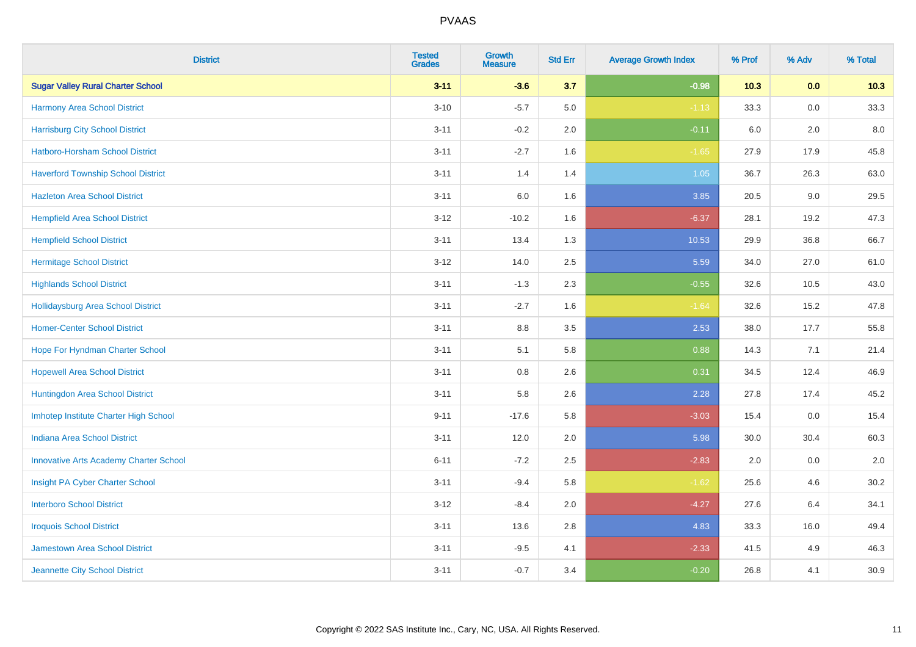| <b>District</b>                               | <b>Tested</b><br><b>Grades</b> | <b>Growth</b><br><b>Measure</b> | <b>Std Err</b> | <b>Average Growth Index</b> | % Prof | % Adv   | % Total |
|-----------------------------------------------|--------------------------------|---------------------------------|----------------|-----------------------------|--------|---------|---------|
| <b>Sugar Valley Rural Charter School</b>      | $3 - 11$                       | $-3.6$                          | 3.7            | $-0.98$                     | 10.3   | 0.0     | 10.3    |
| Harmony Area School District                  | $3 - 10$                       | $-5.7$                          | 5.0            | $-1.13$                     | 33.3   | 0.0     | 33.3    |
| <b>Harrisburg City School District</b>        | $3 - 11$                       | $-0.2$                          | 2.0            | $-0.11$                     | 6.0    | 2.0     | 8.0     |
| Hatboro-Horsham School District               | $3 - 11$                       | $-2.7$                          | 1.6            | $-1.65$                     | 27.9   | 17.9    | 45.8    |
| <b>Haverford Township School District</b>     | $3 - 11$                       | 1.4                             | 1.4            | 1.05                        | 36.7   | 26.3    | 63.0    |
| <b>Hazleton Area School District</b>          | $3 - 11$                       | 6.0                             | 1.6            | 3.85                        | 20.5   | 9.0     | 29.5    |
| <b>Hempfield Area School District</b>         | $3 - 12$                       | $-10.2$                         | 1.6            | $-6.37$                     | 28.1   | 19.2    | 47.3    |
| <b>Hempfield School District</b>              | $3 - 11$                       | 13.4                            | 1.3            | 10.53                       | 29.9   | 36.8    | 66.7    |
| <b>Hermitage School District</b>              | $3 - 12$                       | 14.0                            | 2.5            | 5.59                        | 34.0   | 27.0    | 61.0    |
| <b>Highlands School District</b>              | $3 - 11$                       | $-1.3$                          | 2.3            | $-0.55$                     | 32.6   | 10.5    | 43.0    |
| <b>Hollidaysburg Area School District</b>     | $3 - 11$                       | $-2.7$                          | 1.6            | $-1.64$                     | 32.6   | 15.2    | 47.8    |
| <b>Homer-Center School District</b>           | $3 - 11$                       | 8.8                             | 3.5            | 2.53                        | 38.0   | 17.7    | 55.8    |
| Hope For Hyndman Charter School               | $3 - 11$                       | 5.1                             | 5.8            | 0.88                        | 14.3   | 7.1     | 21.4    |
| <b>Hopewell Area School District</b>          | $3 - 11$                       | 0.8                             | 2.6            | 0.31                        | 34.5   | 12.4    | 46.9    |
| Huntingdon Area School District               | $3 - 11$                       | 5.8                             | 2.6            | 2.28                        | 27.8   | 17.4    | 45.2    |
| Imhotep Institute Charter High School         | $9 - 11$                       | $-17.6$                         | 5.8            | $-3.03$                     | 15.4   | $0.0\,$ | 15.4    |
| <b>Indiana Area School District</b>           | $3 - 11$                       | 12.0                            | 2.0            | 5.98                        | 30.0   | 30.4    | 60.3    |
| <b>Innovative Arts Academy Charter School</b> | $6 - 11$                       | $-7.2$                          | 2.5            | $-2.83$                     | 2.0    | 0.0     | 2.0     |
| Insight PA Cyber Charter School               | $3 - 11$                       | $-9.4$                          | 5.8            | $-1.62$                     | 25.6   | 4.6     | 30.2    |
| <b>Interboro School District</b>              | $3 - 12$                       | $-8.4$                          | 2.0            | $-4.27$                     | 27.6   | 6.4     | 34.1    |
| <b>Iroquois School District</b>               | $3 - 11$                       | 13.6                            | 2.8            | 4.83                        | 33.3   | 16.0    | 49.4    |
| Jamestown Area School District                | $3 - 11$                       | $-9.5$                          | 4.1            | $-2.33$                     | 41.5   | 4.9     | 46.3    |
| Jeannette City School District                | $3 - 11$                       | $-0.7$                          | 3.4            | $-0.20$                     | 26.8   | 4.1     | 30.9    |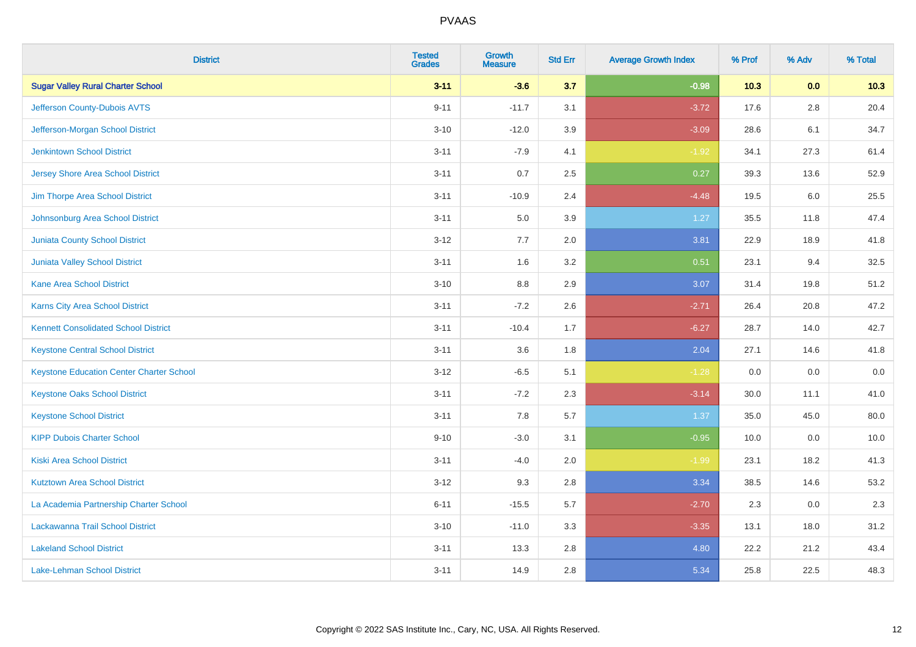| <b>District</b>                                 | <b>Tested</b><br><b>Grades</b> | <b>Growth</b><br><b>Measure</b> | <b>Std Err</b> | <b>Average Growth Index</b> | % Prof | % Adv   | % Total |
|-------------------------------------------------|--------------------------------|---------------------------------|----------------|-----------------------------|--------|---------|---------|
| <b>Sugar Valley Rural Charter School</b>        | $3 - 11$                       | $-3.6$                          | 3.7            | $-0.98$                     | 10.3   | 0.0     | 10.3    |
| Jefferson County-Dubois AVTS                    | $9 - 11$                       | $-11.7$                         | 3.1            | $-3.72$                     | 17.6   | $2.8\,$ | 20.4    |
| Jefferson-Morgan School District                | $3 - 10$                       | $-12.0$                         | 3.9            | $-3.09$                     | 28.6   | 6.1     | 34.7    |
| <b>Jenkintown School District</b>               | $3 - 11$                       | $-7.9$                          | 4.1            | $-1.92$                     | 34.1   | 27.3    | 61.4    |
| <b>Jersey Shore Area School District</b>        | $3 - 11$                       | 0.7                             | 2.5            | 0.27                        | 39.3   | 13.6    | 52.9    |
| Jim Thorpe Area School District                 | $3 - 11$                       | $-10.9$                         | 2.4            | $-4.48$                     | 19.5   | 6.0     | 25.5    |
| Johnsonburg Area School District                | $3 - 11$                       | 5.0                             | 3.9            | 1.27                        | 35.5   | 11.8    | 47.4    |
| <b>Juniata County School District</b>           | $3 - 12$                       | 7.7                             | 2.0            | 3.81                        | 22.9   | 18.9    | 41.8    |
| <b>Juniata Valley School District</b>           | $3 - 11$                       | 1.6                             | 3.2            | 0.51                        | 23.1   | 9.4     | 32.5    |
| <b>Kane Area School District</b>                | $3 - 10$                       | 8.8                             | 2.9            | 3.07                        | 31.4   | 19.8    | 51.2    |
| Karns City Area School District                 | $3 - 11$                       | $-7.2$                          | 2.6            | $-2.71$                     | 26.4   | 20.8    | 47.2    |
| <b>Kennett Consolidated School District</b>     | $3 - 11$                       | $-10.4$                         | 1.7            | $-6.27$                     | 28.7   | 14.0    | 42.7    |
| <b>Keystone Central School District</b>         | $3 - 11$                       | 3.6                             | 1.8            | 2.04                        | 27.1   | 14.6    | 41.8    |
| <b>Keystone Education Center Charter School</b> | $3 - 12$                       | $-6.5$                          | 5.1            | $-1.28$                     | 0.0    | 0.0     | $0.0\,$ |
| <b>Keystone Oaks School District</b>            | $3 - 11$                       | $-7.2$                          | 2.3            | $-3.14$                     | 30.0   | 11.1    | 41.0    |
| <b>Keystone School District</b>                 | $3 - 11$                       | 7.8                             | 5.7            | 1.37                        | 35.0   | 45.0    | 80.0    |
| <b>KIPP Dubois Charter School</b>               | $9 - 10$                       | $-3.0$                          | 3.1            | $-0.95$                     | 10.0   | 0.0     | 10.0    |
| <b>Kiski Area School District</b>               | $3 - 11$                       | $-4.0$                          | 2.0            | $-1.99$                     | 23.1   | 18.2    | 41.3    |
| <b>Kutztown Area School District</b>            | $3 - 12$                       | 9.3                             | 2.8            | 3.34                        | 38.5   | 14.6    | 53.2    |
| La Academia Partnership Charter School          | $6 - 11$                       | $-15.5$                         | 5.7            | $-2.70$                     | 2.3    | 0.0     | 2.3     |
| Lackawanna Trail School District                | $3 - 10$                       | $-11.0$                         | 3.3            | $-3.35$                     | 13.1   | 18.0    | 31.2    |
| <b>Lakeland School District</b>                 | $3 - 11$                       | 13.3                            | 2.8            | 4.80                        | 22.2   | 21.2    | 43.4    |
| Lake-Lehman School District                     | $3 - 11$                       | 14.9                            | 2.8            | 5.34                        | 25.8   | 22.5    | 48.3    |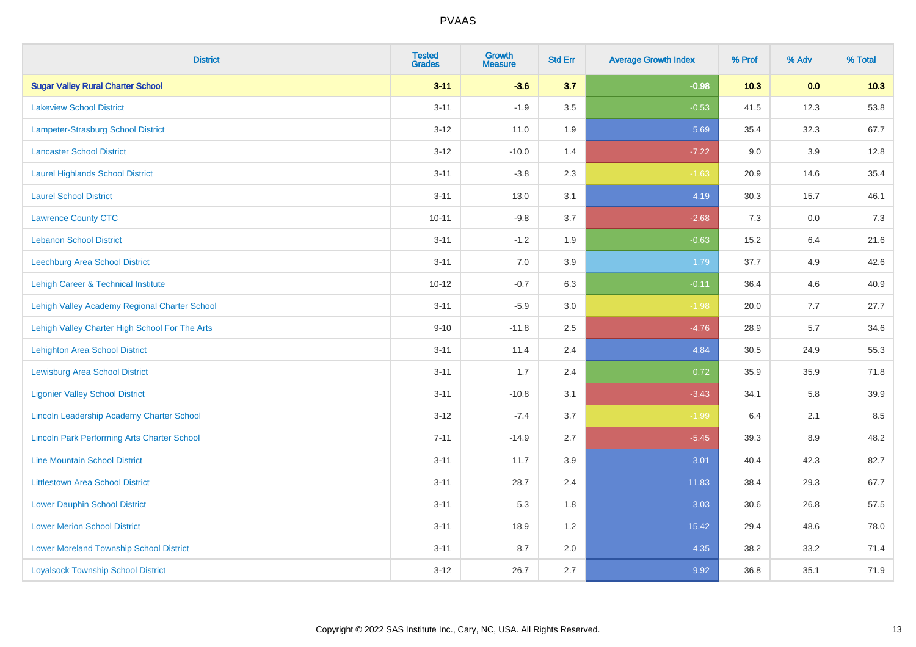| <b>District</b>                                    | <b>Tested</b><br><b>Grades</b> | <b>Growth</b><br><b>Measure</b> | <b>Std Err</b> | <b>Average Growth Index</b> | % Prof | % Adv | % Total |
|----------------------------------------------------|--------------------------------|---------------------------------|----------------|-----------------------------|--------|-------|---------|
| <b>Sugar Valley Rural Charter School</b>           | $3 - 11$                       | $-3.6$                          | 3.7            | $-0.98$                     | 10.3   | 0.0   | 10.3    |
| <b>Lakeview School District</b>                    | $3 - 11$                       | $-1.9$                          | 3.5            | $-0.53$                     | 41.5   | 12.3  | 53.8    |
| <b>Lampeter-Strasburg School District</b>          | $3 - 12$                       | 11.0                            | 1.9            | 5.69                        | 35.4   | 32.3  | 67.7    |
| <b>Lancaster School District</b>                   | $3 - 12$                       | $-10.0$                         | 1.4            | $-7.22$                     | 9.0    | 3.9   | 12.8    |
| <b>Laurel Highlands School District</b>            | $3 - 11$                       | $-3.8$                          | 2.3            | $-1.63$                     | 20.9   | 14.6  | 35.4    |
| <b>Laurel School District</b>                      | $3 - 11$                       | 13.0                            | 3.1            | 4.19                        | 30.3   | 15.7  | 46.1    |
| <b>Lawrence County CTC</b>                         | $10 - 11$                      | $-9.8$                          | 3.7            | $-2.68$                     | 7.3    | 0.0   | 7.3     |
| <b>Lebanon School District</b>                     | $3 - 11$                       | $-1.2$                          | 1.9            | $-0.63$                     | 15.2   | 6.4   | 21.6    |
| Leechburg Area School District                     | $3 - 11$                       | 7.0                             | 3.9            | 1.79                        | 37.7   | 4.9   | 42.6    |
| Lehigh Career & Technical Institute                | $10 - 12$                      | $-0.7$                          | 6.3            | $-0.11$                     | 36.4   | 4.6   | 40.9    |
| Lehigh Valley Academy Regional Charter School      | $3 - 11$                       | $-5.9$                          | 3.0            | $-1.98$                     | 20.0   | 7.7   | 27.7    |
| Lehigh Valley Charter High School For The Arts     | $9 - 10$                       | $-11.8$                         | 2.5            | $-4.76$                     | 28.9   | 5.7   | 34.6    |
| <b>Lehighton Area School District</b>              | $3 - 11$                       | 11.4                            | 2.4            | 4.84                        | 30.5   | 24.9  | 55.3    |
| <b>Lewisburg Area School District</b>              | $3 - 11$                       | 1.7                             | 2.4            | 0.72                        | 35.9   | 35.9  | 71.8    |
| <b>Ligonier Valley School District</b>             | $3 - 11$                       | $-10.8$                         | 3.1            | $-3.43$                     | 34.1   | 5.8   | 39.9    |
| <b>Lincoln Leadership Academy Charter School</b>   | $3 - 12$                       | $-7.4$                          | 3.7            | $-1.99$                     | 6.4    | 2.1   | 8.5     |
| <b>Lincoln Park Performing Arts Charter School</b> | $7 - 11$                       | $-14.9$                         | 2.7            | $-5.45$                     | 39.3   | 8.9   | 48.2    |
| <b>Line Mountain School District</b>               | $3 - 11$                       | 11.7                            | 3.9            | 3.01                        | 40.4   | 42.3  | 82.7    |
| <b>Littlestown Area School District</b>            | $3 - 11$                       | 28.7                            | 2.4            | 11.83                       | 38.4   | 29.3  | 67.7    |
| <b>Lower Dauphin School District</b>               | $3 - 11$                       | 5.3                             | 1.8            | 3.03                        | 30.6   | 26.8  | 57.5    |
| <b>Lower Merion School District</b>                | $3 - 11$                       | 18.9                            | 1.2            | 15.42                       | 29.4   | 48.6  | 78.0    |
| <b>Lower Moreland Township School District</b>     | $3 - 11$                       | 8.7                             | 2.0            | 4.35                        | 38.2   | 33.2  | 71.4    |
| <b>Loyalsock Township School District</b>          | $3 - 12$                       | 26.7                            | 2.7            | 9.92                        | 36.8   | 35.1  | 71.9    |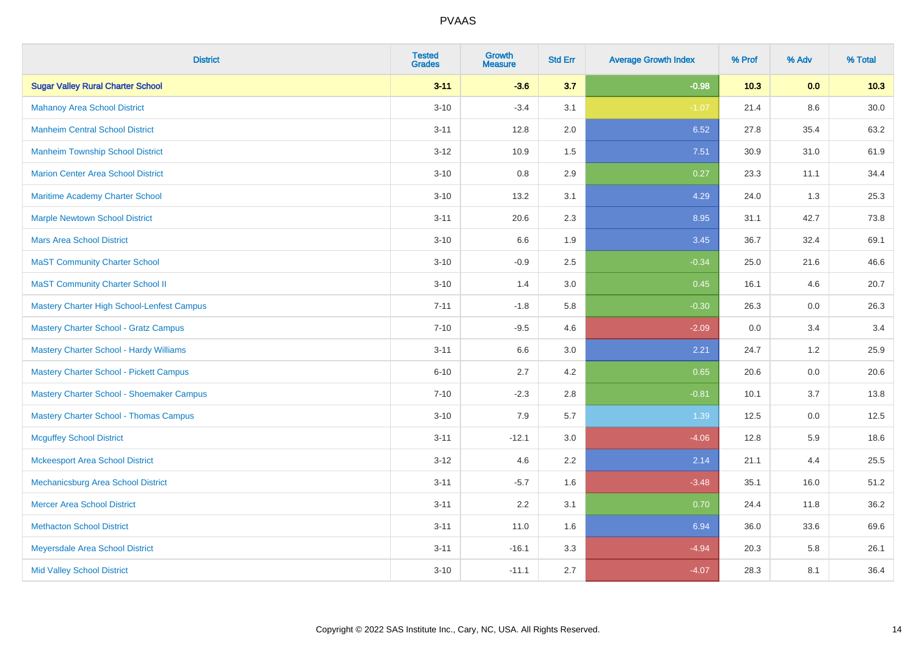| <b>District</b>                                | <b>Tested</b><br><b>Grades</b> | <b>Growth</b><br><b>Measure</b> | <b>Std Err</b> | <b>Average Growth Index</b> | % Prof | % Adv   | % Total  |
|------------------------------------------------|--------------------------------|---------------------------------|----------------|-----------------------------|--------|---------|----------|
| <b>Sugar Valley Rural Charter School</b>       | $3 - 11$                       | $-3.6$                          | 3.7            | $-0.98$                     | 10.3   | 0.0     | 10.3     |
| <b>Mahanoy Area School District</b>            | $3 - 10$                       | $-3.4$                          | 3.1            | $-1.07$                     | 21.4   | $8.6\,$ | $30.0\,$ |
| <b>Manheim Central School District</b>         | $3 - 11$                       | 12.8                            | 2.0            | 6.52                        | 27.8   | 35.4    | 63.2     |
| <b>Manheim Township School District</b>        | $3 - 12$                       | 10.9                            | 1.5            | 7.51                        | 30.9   | 31.0    | 61.9     |
| <b>Marion Center Area School District</b>      | $3 - 10$                       | 0.8                             | 2.9            | 0.27                        | 23.3   | 11.1    | 34.4     |
| Maritime Academy Charter School                | $3 - 10$                       | 13.2                            | 3.1            | 4.29                        | 24.0   | 1.3     | 25.3     |
| <b>Marple Newtown School District</b>          | $3 - 11$                       | 20.6                            | 2.3            | 8.95                        | 31.1   | 42.7    | 73.8     |
| <b>Mars Area School District</b>               | $3 - 10$                       | 6.6                             | 1.9            | 3.45                        | 36.7   | 32.4    | 69.1     |
| <b>MaST Community Charter School</b>           | $3 - 10$                       | $-0.9$                          | 2.5            | $-0.34$                     | 25.0   | 21.6    | 46.6     |
| <b>MaST Community Charter School II</b>        | $3 - 10$                       | 1.4                             | 3.0            | 0.45                        | 16.1   | 4.6     | 20.7     |
| Mastery Charter High School-Lenfest Campus     | $7 - 11$                       | $-1.8$                          | 5.8            | $-0.30$                     | 26.3   | 0.0     | 26.3     |
| <b>Mastery Charter School - Gratz Campus</b>   | $7 - 10$                       | $-9.5$                          | 4.6            | $-2.09$                     | 0.0    | 3.4     | 3.4      |
| Mastery Charter School - Hardy Williams        | $3 - 11$                       | 6.6                             | 3.0            | 2.21                        | 24.7   | 1.2     | 25.9     |
| <b>Mastery Charter School - Pickett Campus</b> | $6 - 10$                       | 2.7                             | 4.2            | 0.65                        | 20.6   | 0.0     | 20.6     |
| Mastery Charter School - Shoemaker Campus      | $7 - 10$                       | $-2.3$                          | 2.8            | $-0.81$                     | 10.1   | 3.7     | 13.8     |
| <b>Mastery Charter School - Thomas Campus</b>  | $3 - 10$                       | 7.9                             | 5.7            | 1.39                        | 12.5   | $0.0\,$ | 12.5     |
| <b>Mcguffey School District</b>                | $3 - 11$                       | $-12.1$                         | 3.0            | $-4.06$                     | 12.8   | 5.9     | 18.6     |
| <b>Mckeesport Area School District</b>         | $3 - 12$                       | 4.6                             | 2.2            | 2.14                        | 21.1   | 4.4     | 25.5     |
| Mechanicsburg Area School District             | $3 - 11$                       | $-5.7$                          | 1.6            | $-3.48$                     | 35.1   | 16.0    | 51.2     |
| <b>Mercer Area School District</b>             | $3 - 11$                       | 2.2                             | 3.1            | 0.70                        | 24.4   | 11.8    | 36.2     |
| <b>Methacton School District</b>               | $3 - 11$                       | 11.0                            | 1.6            | 6.94                        | 36.0   | 33.6    | 69.6     |
| Meyersdale Area School District                | $3 - 11$                       | $-16.1$                         | 3.3            | $-4.94$                     | 20.3   | 5.8     | 26.1     |
| <b>Mid Valley School District</b>              | $3 - 10$                       | $-11.1$                         | 2.7            | $-4.07$                     | 28.3   | 8.1     | 36.4     |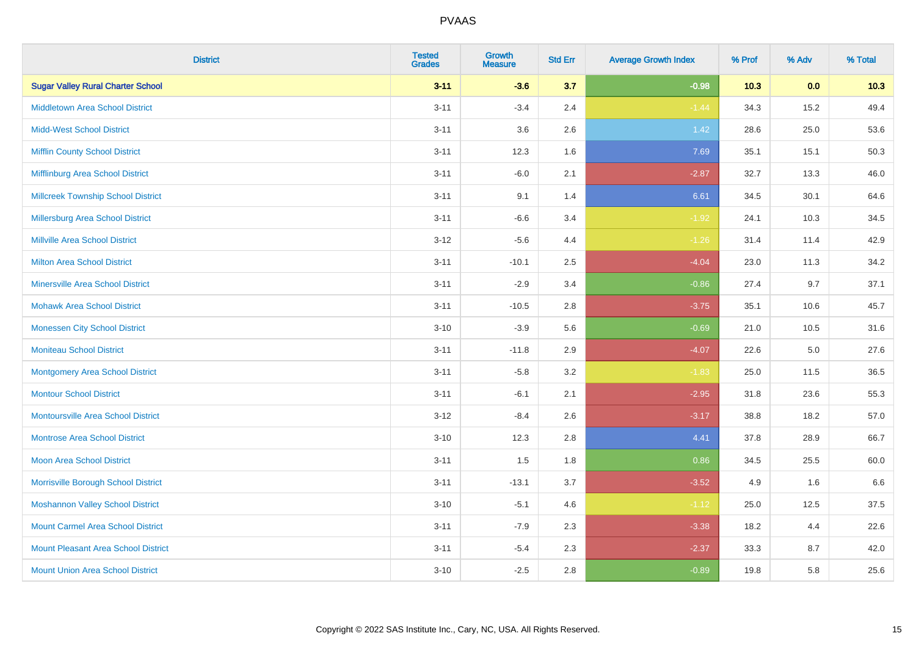| <b>District</b>                            | <b>Tested</b><br><b>Grades</b> | <b>Growth</b><br><b>Measure</b> | <b>Std Err</b> | <b>Average Growth Index</b> | % Prof | % Adv   | % Total |
|--------------------------------------------|--------------------------------|---------------------------------|----------------|-----------------------------|--------|---------|---------|
| <b>Sugar Valley Rural Charter School</b>   | $3 - 11$                       | $-3.6$                          | 3.7            | $-0.98$                     | 10.3   | 0.0     | 10.3    |
| <b>Middletown Area School District</b>     | $3 - 11$                       | $-3.4$                          | 2.4            | $-1.44$                     | 34.3   | 15.2    | 49.4    |
| <b>Midd-West School District</b>           | $3 - 11$                       | 3.6                             | 2.6            | 1.42                        | 28.6   | 25.0    | 53.6    |
| <b>Mifflin County School District</b>      | $3 - 11$                       | 12.3                            | 1.6            | 7.69                        | 35.1   | 15.1    | 50.3    |
| Mifflinburg Area School District           | $3 - 11$                       | $-6.0$                          | 2.1            | $-2.87$                     | 32.7   | 13.3    | 46.0    |
| <b>Millcreek Township School District</b>  | $3 - 11$                       | 9.1                             | 1.4            | 6.61                        | 34.5   | 30.1    | 64.6    |
| Millersburg Area School District           | $3 - 11$                       | $-6.6$                          | 3.4            | $-1.92$                     | 24.1   | 10.3    | 34.5    |
| <b>Millville Area School District</b>      | $3 - 12$                       | $-5.6$                          | 4.4            | $-1.26$                     | 31.4   | 11.4    | 42.9    |
| <b>Milton Area School District</b>         | $3 - 11$                       | $-10.1$                         | 2.5            | $-4.04$                     | 23.0   | 11.3    | 34.2    |
| <b>Minersville Area School District</b>    | $3 - 11$                       | $-2.9$                          | 3.4            | $-0.86$                     | 27.4   | 9.7     | 37.1    |
| <b>Mohawk Area School District</b>         | $3 - 11$                       | $-10.5$                         | 2.8            | $-3.75$                     | 35.1   | 10.6    | 45.7    |
| <b>Monessen City School District</b>       | $3 - 10$                       | $-3.9$                          | 5.6            | $-0.69$                     | 21.0   | 10.5    | 31.6    |
| <b>Moniteau School District</b>            | $3 - 11$                       | $-11.8$                         | 2.9            | $-4.07$                     | 22.6   | $5.0\,$ | 27.6    |
| <b>Montgomery Area School District</b>     | $3 - 11$                       | $-5.8$                          | 3.2            | $-1.83$                     | 25.0   | 11.5    | 36.5    |
| <b>Montour School District</b>             | $3 - 11$                       | $-6.1$                          | 2.1            | $-2.95$                     | 31.8   | 23.6    | 55.3    |
| <b>Montoursville Area School District</b>  | $3 - 12$                       | $-8.4$                          | 2.6            | $-3.17$                     | 38.8   | 18.2    | 57.0    |
| <b>Montrose Area School District</b>       | $3 - 10$                       | 12.3                            | 2.8            | 4.41                        | 37.8   | 28.9    | 66.7    |
| <b>Moon Area School District</b>           | $3 - 11$                       | 1.5                             | 1.8            | 0.86                        | 34.5   | 25.5    | 60.0    |
| Morrisville Borough School District        | $3 - 11$                       | $-13.1$                         | 3.7            | $-3.52$                     | 4.9    | 1.6     | 6.6     |
| <b>Moshannon Valley School District</b>    | $3 - 10$                       | $-5.1$                          | 4.6            | $-1.12$                     | 25.0   | 12.5    | 37.5    |
| <b>Mount Carmel Area School District</b>   | $3 - 11$                       | $-7.9$                          | 2.3            | $-3.38$                     | 18.2   | 4.4     | 22.6    |
| <b>Mount Pleasant Area School District</b> | $3 - 11$                       | $-5.4$                          | 2.3            | $-2.37$                     | 33.3   | 8.7     | 42.0    |
| <b>Mount Union Area School District</b>    | $3 - 10$                       | $-2.5$                          | 2.8            | $-0.89$                     | 19.8   | 5.8     | 25.6    |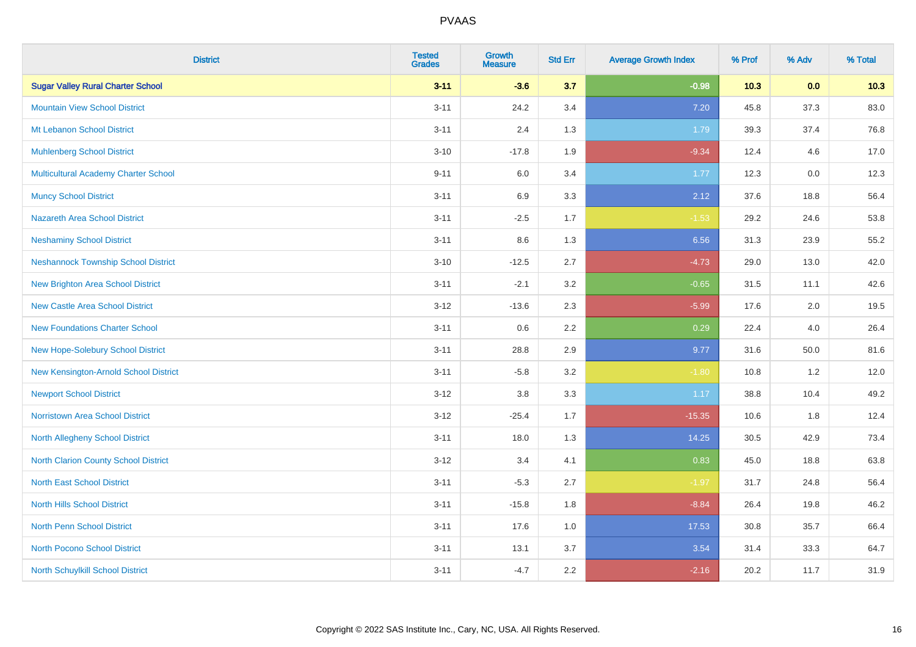| <b>District</b>                             | <b>Tested</b><br><b>Grades</b> | <b>Growth</b><br><b>Measure</b> | <b>Std Err</b> | <b>Average Growth Index</b> | % Prof | % Adv | % Total |
|---------------------------------------------|--------------------------------|---------------------------------|----------------|-----------------------------|--------|-------|---------|
| <b>Sugar Valley Rural Charter School</b>    | $3 - 11$                       | $-3.6$                          | 3.7            | $-0.98$                     | 10.3   | 0.0   | 10.3    |
| <b>Mountain View School District</b>        | $3 - 11$                       | 24.2                            | 3.4            | 7.20                        | 45.8   | 37.3  | 83.0    |
| Mt Lebanon School District                  | $3 - 11$                       | 2.4                             | 1.3            | 1.79                        | 39.3   | 37.4  | 76.8    |
| <b>Muhlenberg School District</b>           | $3 - 10$                       | $-17.8$                         | 1.9            | $-9.34$                     | 12.4   | 4.6   | 17.0    |
| <b>Multicultural Academy Charter School</b> | $9 - 11$                       | 6.0                             | 3.4            | 1.77                        | 12.3   | 0.0   | 12.3    |
| <b>Muncy School District</b>                | $3 - 11$                       | 6.9                             | 3.3            | 2.12                        | 37.6   | 18.8  | 56.4    |
| <b>Nazareth Area School District</b>        | $3 - 11$                       | $-2.5$                          | 1.7            | $-1.53$                     | 29.2   | 24.6  | 53.8    |
| <b>Neshaminy School District</b>            | $3 - 11$                       | $8.6\,$                         | 1.3            | 6.56                        | 31.3   | 23.9  | 55.2    |
| <b>Neshannock Township School District</b>  | $3 - 10$                       | $-12.5$                         | 2.7            | $-4.73$                     | 29.0   | 13.0  | 42.0    |
| <b>New Brighton Area School District</b>    | $3 - 11$                       | $-2.1$                          | 3.2            | $-0.65$                     | 31.5   | 11.1  | 42.6    |
| <b>New Castle Area School District</b>      | $3 - 12$                       | $-13.6$                         | 2.3            | $-5.99$                     | 17.6   | 2.0   | 19.5    |
| <b>New Foundations Charter School</b>       | $3 - 11$                       | $0.6\,$                         | 2.2            | 0.29                        | 22.4   | 4.0   | 26.4    |
| New Hope-Solebury School District           | $3 - 11$                       | 28.8                            | 2.9            | 9.77                        | 31.6   | 50.0  | 81.6    |
| New Kensington-Arnold School District       | $3 - 11$                       | $-5.8$                          | 3.2            | $-1.80$                     | 10.8   | 1.2   | 12.0    |
| <b>Newport School District</b>              | $3 - 12$                       | $3.8\,$                         | 3.3            | 1.17                        | 38.8   | 10.4  | 49.2    |
| <b>Norristown Area School District</b>      | $3 - 12$                       | $-25.4$                         | 1.7            | $-15.35$                    | 10.6   | 1.8   | 12.4    |
| <b>North Allegheny School District</b>      | $3 - 11$                       | 18.0                            | 1.3            | 14.25                       | 30.5   | 42.9  | 73.4    |
| <b>North Clarion County School District</b> | $3 - 12$                       | 3.4                             | 4.1            | 0.83                        | 45.0   | 18.8  | 63.8    |
| <b>North East School District</b>           | $3 - 11$                       | $-5.3$                          | 2.7            | $-1.97$                     | 31.7   | 24.8  | 56.4    |
| <b>North Hills School District</b>          | $3 - 11$                       | $-15.8$                         | 1.8            | $-8.84$                     | 26.4   | 19.8  | 46.2    |
| <b>North Penn School District</b>           | $3 - 11$                       | 17.6                            | 1.0            | 17.53                       | 30.8   | 35.7  | 66.4    |
| <b>North Pocono School District</b>         | $3 - 11$                       | 13.1                            | 3.7            | 3.54                        | 31.4   | 33.3  | 64.7    |
| North Schuylkill School District            | $3 - 11$                       | $-4.7$                          | 2.2            | $-2.16$                     | 20.2   | 11.7  | 31.9    |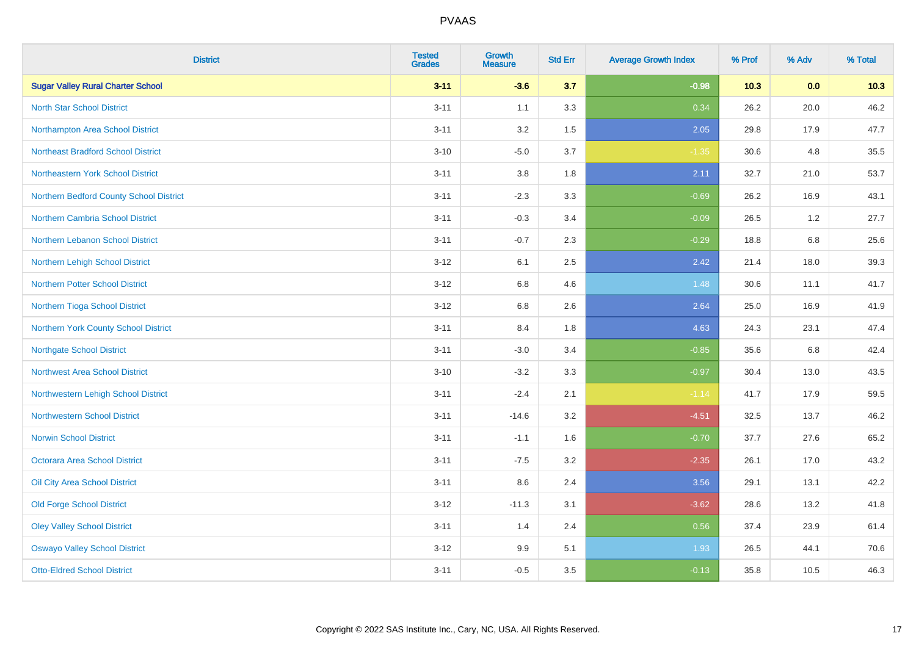| <b>District</b>                           | <b>Tested</b><br><b>Grades</b> | <b>Growth</b><br><b>Measure</b> | <b>Std Err</b> | <b>Average Growth Index</b> | % Prof | % Adv   | % Total |
|-------------------------------------------|--------------------------------|---------------------------------|----------------|-----------------------------|--------|---------|---------|
| <b>Sugar Valley Rural Charter School</b>  | $3 - 11$                       | $-3.6$                          | 3.7            | $-0.98$                     | 10.3   | 0.0     | 10.3    |
| <b>North Star School District</b>         | $3 - 11$                       | 1.1                             | 3.3            | 0.34                        | 26.2   | 20.0    | 46.2    |
| Northampton Area School District          | $3 - 11$                       | 3.2                             | 1.5            | 2.05                        | 29.8   | 17.9    | 47.7    |
| <b>Northeast Bradford School District</b> | $3 - 10$                       | $-5.0$                          | 3.7            | $-1.35$                     | 30.6   | 4.8     | 35.5    |
| Northeastern York School District         | $3 - 11$                       | 3.8                             | 1.8            | 2.11                        | 32.7   | 21.0    | 53.7    |
| Northern Bedford County School District   | $3 - 11$                       | $-2.3$                          | 3.3            | $-0.69$                     | 26.2   | 16.9    | 43.1    |
| Northern Cambria School District          | $3 - 11$                       | $-0.3$                          | 3.4            | $-0.09$                     | 26.5   | 1.2     | 27.7    |
| Northern Lebanon School District          | $3 - 11$                       | $-0.7$                          | 2.3            | $-0.29$                     | 18.8   | 6.8     | 25.6    |
| Northern Lehigh School District           | $3 - 12$                       | 6.1                             | 2.5            | 2.42                        | 21.4   | 18.0    | 39.3    |
| Northern Potter School District           | $3 - 12$                       | 6.8                             | 4.6            | 1.48                        | 30.6   | 11.1    | 41.7    |
| Northern Tioga School District            | $3 - 12$                       | 6.8                             | 2.6            | 2.64                        | 25.0   | 16.9    | 41.9    |
| Northern York County School District      | $3 - 11$                       | 8.4                             | 1.8            | 4.63                        | 24.3   | 23.1    | 47.4    |
| <b>Northgate School District</b>          | $3 - 11$                       | $-3.0$                          | 3.4            | $-0.85$                     | 35.6   | $6.8\,$ | 42.4    |
| <b>Northwest Area School District</b>     | $3 - 10$                       | $-3.2$                          | 3.3            | $-0.97$                     | 30.4   | 13.0    | 43.5    |
| Northwestern Lehigh School District       | $3 - 11$                       | $-2.4$                          | 2.1            | $-1.14$                     | 41.7   | 17.9    | 59.5    |
| <b>Northwestern School District</b>       | $3 - 11$                       | $-14.6$                         | 3.2            | $-4.51$                     | 32.5   | 13.7    | 46.2    |
| <b>Norwin School District</b>             | $3 - 11$                       | $-1.1$                          | 1.6            | $-0.70$                     | 37.7   | 27.6    | 65.2    |
| <b>Octorara Area School District</b>      | $3 - 11$                       | $-7.5$                          | 3.2            | $-2.35$                     | 26.1   | 17.0    | 43.2    |
| Oil City Area School District             | $3 - 11$                       | 8.6                             | 2.4            | 3.56                        | 29.1   | 13.1    | 42.2    |
| <b>Old Forge School District</b>          | $3 - 12$                       | $-11.3$                         | 3.1            | $-3.62$                     | 28.6   | 13.2    | 41.8    |
| <b>Oley Valley School District</b>        | $3 - 11$                       | 1.4                             | 2.4            | 0.56                        | 37.4   | 23.9    | 61.4    |
| <b>Oswayo Valley School District</b>      | $3 - 12$                       | 9.9                             | 5.1            | 1.93                        | 26.5   | 44.1    | 70.6    |
| <b>Otto-Eldred School District</b>        | $3 - 11$                       | $-0.5$                          | 3.5            | $-0.13$                     | 35.8   | 10.5    | 46.3    |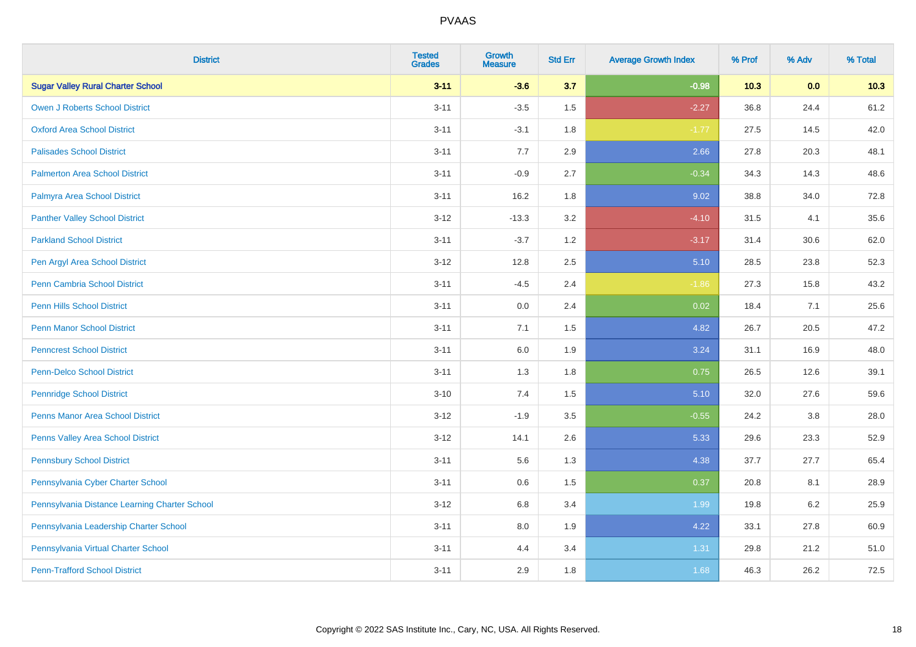| <b>District</b>                               | <b>Tested</b><br><b>Grades</b> | <b>Growth</b><br><b>Measure</b> | <b>Std Err</b> | <b>Average Growth Index</b> | % Prof | % Adv | % Total |
|-----------------------------------------------|--------------------------------|---------------------------------|----------------|-----------------------------|--------|-------|---------|
| <b>Sugar Valley Rural Charter School</b>      | $3 - 11$                       | $-3.6$                          | 3.7            | $-0.98$                     | 10.3   | 0.0   | 10.3    |
| <b>Owen J Roberts School District</b>         | $3 - 11$                       | $-3.5$                          | 1.5            | $-2.27$                     | 36.8   | 24.4  | 61.2    |
| <b>Oxford Area School District</b>            | $3 - 11$                       | $-3.1$                          | 1.8            | $-1.77$                     | 27.5   | 14.5  | 42.0    |
| <b>Palisades School District</b>              | $3 - 11$                       | 7.7                             | 2.9            | 2.66                        | 27.8   | 20.3  | 48.1    |
| <b>Palmerton Area School District</b>         | $3 - 11$                       | $-0.9$                          | 2.7            | $-0.34$                     | 34.3   | 14.3  | 48.6    |
| Palmyra Area School District                  | $3 - 11$                       | 16.2                            | 1.8            | 9.02                        | 38.8   | 34.0  | 72.8    |
| <b>Panther Valley School District</b>         | $3 - 12$                       | $-13.3$                         | 3.2            | $-4.10$                     | 31.5   | 4.1   | 35.6    |
| <b>Parkland School District</b>               | $3 - 11$                       | $-3.7$                          | 1.2            | $-3.17$                     | 31.4   | 30.6  | 62.0    |
| Pen Argyl Area School District                | $3 - 12$                       | 12.8                            | 2.5            | 5.10                        | 28.5   | 23.8  | 52.3    |
| <b>Penn Cambria School District</b>           | $3 - 11$                       | $-4.5$                          | 2.4            | $-1.86$                     | 27.3   | 15.8  | 43.2    |
| <b>Penn Hills School District</b>             | $3 - 11$                       | 0.0                             | 2.4            | 0.02                        | 18.4   | 7.1   | 25.6    |
| <b>Penn Manor School District</b>             | $3 - 11$                       | 7.1                             | 1.5            | 4.82                        | 26.7   | 20.5  | 47.2    |
| <b>Penncrest School District</b>              | $3 - 11$                       | 6.0                             | 1.9            | 3.24                        | 31.1   | 16.9  | 48.0    |
| <b>Penn-Delco School District</b>             | $3 - 11$                       | 1.3                             | 1.8            | 0.75                        | 26.5   | 12.6  | 39.1    |
| <b>Pennridge School District</b>              | $3 - 10$                       | 7.4                             | 1.5            | 5.10                        | 32.0   | 27.6  | 59.6    |
| <b>Penns Manor Area School District</b>       | $3 - 12$                       | $-1.9$                          | 3.5            | $-0.55$                     | 24.2   | 3.8   | 28.0    |
| <b>Penns Valley Area School District</b>      | $3 - 12$                       | 14.1                            | 2.6            | 5.33                        | 29.6   | 23.3  | 52.9    |
| <b>Pennsbury School District</b>              | $3 - 11$                       | 5.6                             | 1.3            | 4.38                        | 37.7   | 27.7  | 65.4    |
| Pennsylvania Cyber Charter School             | $3 - 11$                       | 0.6                             | 1.5            | 0.37                        | 20.8   | 8.1   | 28.9    |
| Pennsylvania Distance Learning Charter School | $3 - 12$                       | 6.8                             | 3.4            | 1.99                        | 19.8   | 6.2   | 25.9    |
| Pennsylvania Leadership Charter School        | $3 - 11$                       | 8.0                             | 1.9            | 4.22                        | 33.1   | 27.8  | 60.9    |
| Pennsylvania Virtual Charter School           | $3 - 11$                       | 4.4                             | 3.4            | 1.31                        | 29.8   | 21.2  | 51.0    |
| <b>Penn-Trafford School District</b>          | $3 - 11$                       | 2.9                             | 1.8            | 1.68                        | 46.3   | 26.2  | 72.5    |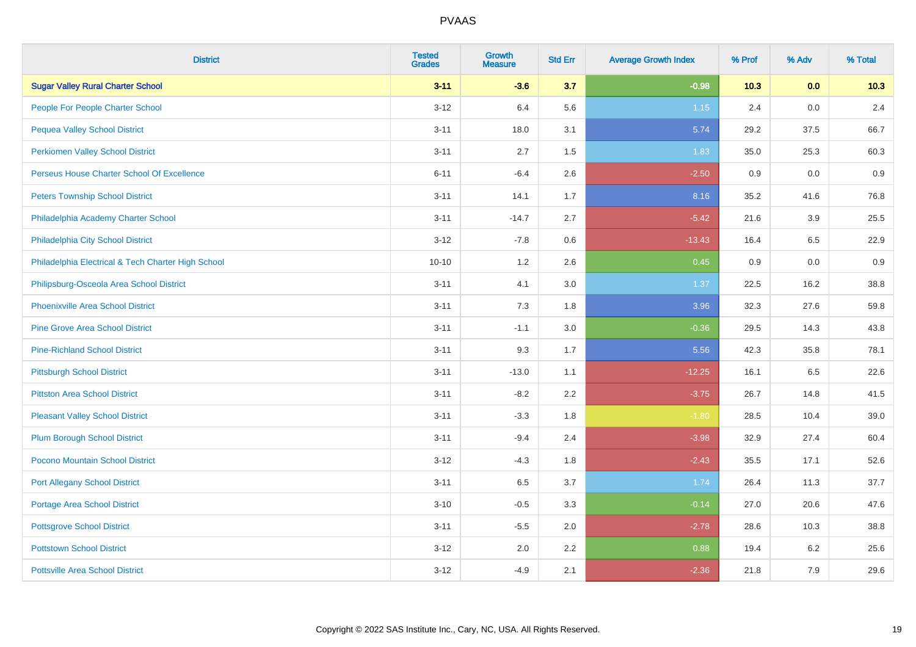| <b>District</b>                                    | <b>Tested</b><br><b>Grades</b> | <b>Growth</b><br><b>Measure</b> | <b>Std Err</b> | <b>Average Growth Index</b> | % Prof | % Adv   | % Total |
|----------------------------------------------------|--------------------------------|---------------------------------|----------------|-----------------------------|--------|---------|---------|
| <b>Sugar Valley Rural Charter School</b>           | $3 - 11$                       | $-3.6$                          | 3.7            | $-0.98$                     | 10.3   | 0.0     | 10.3    |
| People For People Charter School                   | $3 - 12$                       | 6.4                             | 5.6            | 1.15                        | 2.4    | 0.0     | 2.4     |
| <b>Pequea Valley School District</b>               | $3 - 11$                       | 18.0                            | 3.1            | 5.74                        | 29.2   | 37.5    | 66.7    |
| <b>Perkiomen Valley School District</b>            | $3 - 11$                       | 2.7                             | $1.5\,$        | 1.83                        | 35.0   | 25.3    | 60.3    |
| Perseus House Charter School Of Excellence         | $6 - 11$                       | $-6.4$                          | 2.6            | $-2.50$                     | 0.9    | 0.0     | 0.9     |
| <b>Peters Township School District</b>             | $3 - 11$                       | 14.1                            | 1.7            | 8.16                        | 35.2   | 41.6    | 76.8    |
| Philadelphia Academy Charter School                | $3 - 11$                       | $-14.7$                         | 2.7            | $-5.42$                     | 21.6   | 3.9     | 25.5    |
| Philadelphia City School District                  | $3 - 12$                       | $-7.8$                          | 0.6            | $-13.43$                    | 16.4   | 6.5     | 22.9    |
| Philadelphia Electrical & Tech Charter High School | $10 - 10$                      | 1.2                             | 2.6            | 0.45                        | 0.9    | 0.0     | 0.9     |
| Philipsburg-Osceola Area School District           | $3 - 11$                       | 4.1                             | 3.0            | 1.37                        | 22.5   | 16.2    | 38.8    |
| Phoenixville Area School District                  | $3 - 11$                       | 7.3                             | 1.8            | 3.96                        | 32.3   | 27.6    | 59.8    |
| <b>Pine Grove Area School District</b>             | $3 - 11$                       | $-1.1$                          | 3.0            | $-0.36$                     | 29.5   | 14.3    | 43.8    |
| <b>Pine-Richland School District</b>               | $3 - 11$                       | 9.3                             | 1.7            | 5.56                        | 42.3   | 35.8    | 78.1    |
| <b>Pittsburgh School District</b>                  | $3 - 11$                       | $-13.0$                         | 1.1            | $-12.25$                    | 16.1   | 6.5     | 22.6    |
| <b>Pittston Area School District</b>               | $3 - 11$                       | $-8.2$                          | 2.2            | $-3.75$                     | 26.7   | 14.8    | 41.5    |
| <b>Pleasant Valley School District</b>             | $3 - 11$                       | $-3.3$                          | 1.8            | $-1.80$                     | 28.5   | 10.4    | 39.0    |
| <b>Plum Borough School District</b>                | $3 - 11$                       | $-9.4$                          | 2.4            | $-3.98$                     | 32.9   | 27.4    | 60.4    |
| Pocono Mountain School District                    | $3 - 12$                       | $-4.3$                          | 1.8            | $-2.43$                     | 35.5   | 17.1    | 52.6    |
| <b>Port Allegany School District</b>               | $3 - 11$                       | 6.5                             | 3.7            | 1.74                        | 26.4   | 11.3    | 37.7    |
| <b>Portage Area School District</b>                | $3 - 10$                       | $-0.5$                          | 3.3            | $-0.14$                     | 27.0   | 20.6    | 47.6    |
| <b>Pottsgrove School District</b>                  | $3 - 11$                       | $-5.5$                          | 2.0            | $-2.78$                     | 28.6   | 10.3    | 38.8    |
| <b>Pottstown School District</b>                   | $3 - 12$                       | 2.0                             | 2.2            | 0.88                        | 19.4   | $6.2\,$ | 25.6    |
| <b>Pottsville Area School District</b>             | $3 - 12$                       | $-4.9$                          | 2.1            | $-2.36$                     | 21.8   | 7.9     | 29.6    |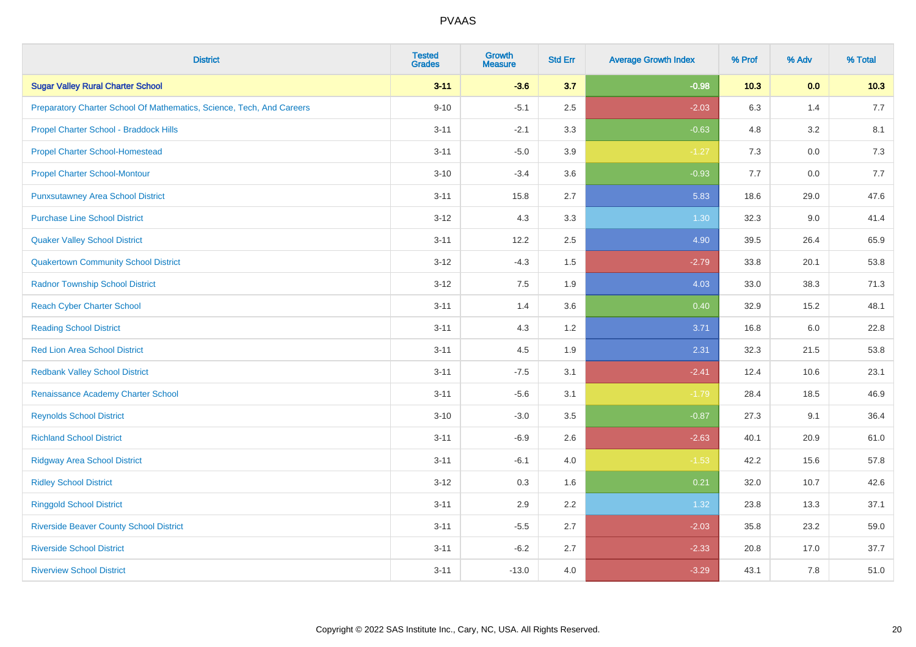| <b>District</b>                                                       | <b>Tested</b><br><b>Grades</b> | <b>Growth</b><br><b>Measure</b> | <b>Std Err</b> | <b>Average Growth Index</b> | % Prof | % Adv   | % Total |
|-----------------------------------------------------------------------|--------------------------------|---------------------------------|----------------|-----------------------------|--------|---------|---------|
| <b>Sugar Valley Rural Charter School</b>                              | $3 - 11$                       | $-3.6$                          | 3.7            | $-0.98$                     | 10.3   | 0.0     | 10.3    |
| Preparatory Charter School Of Mathematics, Science, Tech, And Careers | $9 - 10$                       | $-5.1$                          | 2.5            | $-2.03$                     | 6.3    | 1.4     | 7.7     |
| Propel Charter School - Braddock Hills                                | $3 - 11$                       | $-2.1$                          | 3.3            | $-0.63$                     | 4.8    | 3.2     | 8.1     |
| <b>Propel Charter School-Homestead</b>                                | $3 - 11$                       | $-5.0$                          | 3.9            | $-1.27$                     | 7.3    | $0.0\,$ | 7.3     |
| <b>Propel Charter School-Montour</b>                                  | $3 - 10$                       | $-3.4$                          | 3.6            | $-0.93$                     | 7.7    | 0.0     | 7.7     |
| <b>Punxsutawney Area School District</b>                              | $3 - 11$                       | 15.8                            | 2.7            | 5.83                        | 18.6   | 29.0    | 47.6    |
| <b>Purchase Line School District</b>                                  | $3 - 12$                       | 4.3                             | 3.3            | 1.30                        | 32.3   | 9.0     | 41.4    |
| <b>Quaker Valley School District</b>                                  | $3 - 11$                       | 12.2                            | 2.5            | 4.90                        | 39.5   | 26.4    | 65.9    |
| <b>Quakertown Community School District</b>                           | $3 - 12$                       | $-4.3$                          | 1.5            | $-2.79$                     | 33.8   | 20.1    | 53.8    |
| <b>Radnor Township School District</b>                                | $3 - 12$                       | 7.5                             | 1.9            | 4.03                        | 33.0   | 38.3    | 71.3    |
| <b>Reach Cyber Charter School</b>                                     | $3 - 11$                       | 1.4                             | 3.6            | 0.40                        | 32.9   | 15.2    | 48.1    |
| <b>Reading School District</b>                                        | $3 - 11$                       | 4.3                             | 1.2            | 3.71                        | 16.8   | 6.0     | 22.8    |
| <b>Red Lion Area School District</b>                                  | $3 - 11$                       | 4.5                             | 1.9            | 2.31                        | 32.3   | 21.5    | 53.8    |
| <b>Redbank Valley School District</b>                                 | $3 - 11$                       | $-7.5$                          | 3.1            | $-2.41$                     | 12.4   | 10.6    | 23.1    |
| Renaissance Academy Charter School                                    | $3 - 11$                       | $-5.6$                          | 3.1            | $-1.79$                     | 28.4   | 18.5    | 46.9    |
| <b>Reynolds School District</b>                                       | $3 - 10$                       | $-3.0$                          | 3.5            | $-0.87$                     | 27.3   | 9.1     | 36.4    |
| <b>Richland School District</b>                                       | $3 - 11$                       | $-6.9$                          | 2.6            | $-2.63$                     | 40.1   | 20.9    | 61.0    |
| <b>Ridgway Area School District</b>                                   | $3 - 11$                       | $-6.1$                          | 4.0            | $-1.53$                     | 42.2   | 15.6    | 57.8    |
| <b>Ridley School District</b>                                         | $3 - 12$                       | 0.3                             | 1.6            | 0.21                        | 32.0   | 10.7    | 42.6    |
| <b>Ringgold School District</b>                                       | $3 - 11$                       | 2.9                             | 2.2            | 1.32                        | 23.8   | 13.3    | 37.1    |
| <b>Riverside Beaver County School District</b>                        | $3 - 11$                       | $-5.5$                          | 2.7            | $-2.03$                     | 35.8   | 23.2    | 59.0    |
| <b>Riverside School District</b>                                      | $3 - 11$                       | $-6.2$                          | 2.7            | $-2.33$                     | 20.8   | 17.0    | 37.7    |
| <b>Riverview School District</b>                                      | $3 - 11$                       | $-13.0$                         | 4.0            | $-3.29$                     | 43.1   | 7.8     | 51.0    |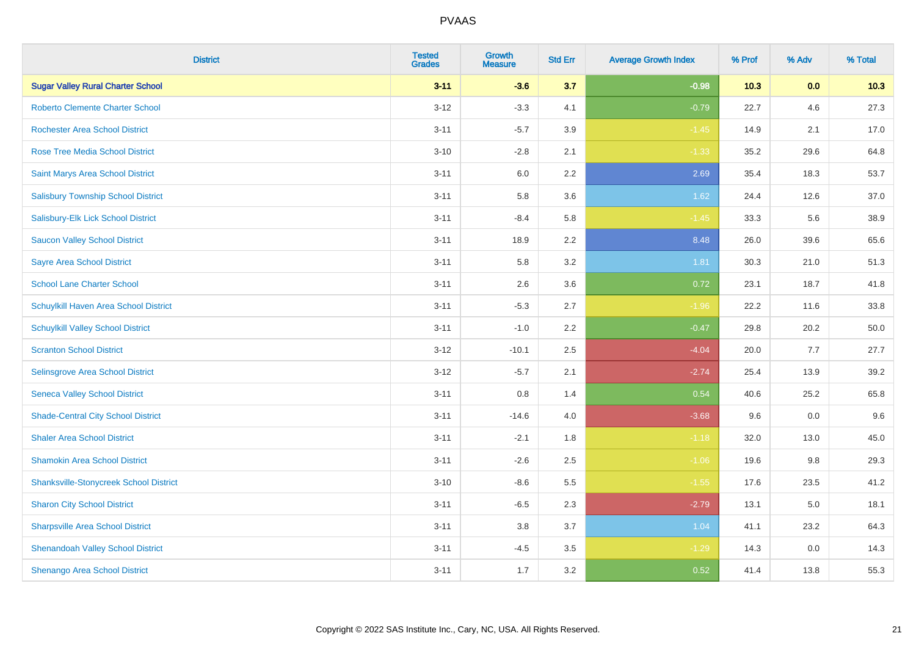| <b>District</b>                               | <b>Tested</b><br><b>Grades</b> | Growth<br><b>Measure</b> | <b>Std Err</b> | <b>Average Growth Index</b> | % Prof | % Adv | % Total |
|-----------------------------------------------|--------------------------------|--------------------------|----------------|-----------------------------|--------|-------|---------|
| <b>Sugar Valley Rural Charter School</b>      | $3 - 11$                       | $-3.6$                   | 3.7            | $-0.98$                     | 10.3   | 0.0   | 10.3    |
| <b>Roberto Clemente Charter School</b>        | $3 - 12$                       | $-3.3$                   | 4.1            | $-0.79$                     | 22.7   | 4.6   | 27.3    |
| <b>Rochester Area School District</b>         | $3 - 11$                       | $-5.7$                   | 3.9            | $-1.45$                     | 14.9   | 2.1   | 17.0    |
| <b>Rose Tree Media School District</b>        | $3 - 10$                       | $-2.8$                   | 2.1            | $-1.33$                     | 35.2   | 29.6  | 64.8    |
| Saint Marys Area School District              | $3 - 11$                       | 6.0                      | 2.2            | 2.69                        | 35.4   | 18.3  | 53.7    |
| <b>Salisbury Township School District</b>     | $3 - 11$                       | 5.8                      | 3.6            | 1.62                        | 24.4   | 12.6  | 37.0    |
| Salisbury-Elk Lick School District            | $3 - 11$                       | $-8.4$                   | 5.8            | $-1.45$                     | 33.3   | 5.6   | 38.9    |
| <b>Saucon Valley School District</b>          | $3 - 11$                       | 18.9                     | 2.2            | 8.48                        | 26.0   | 39.6  | 65.6    |
| <b>Sayre Area School District</b>             | $3 - 11$                       | 5.8                      | 3.2            | 1.81                        | 30.3   | 21.0  | 51.3    |
| <b>School Lane Charter School</b>             | $3 - 11$                       | 2.6                      | 3.6            | 0.72                        | 23.1   | 18.7  | 41.8    |
| Schuylkill Haven Area School District         | $3 - 11$                       | $-5.3$                   | 2.7            | $-1.96$                     | 22.2   | 11.6  | 33.8    |
| <b>Schuylkill Valley School District</b>      | $3 - 11$                       | $-1.0$                   | 2.2            | $-0.47$                     | 29.8   | 20.2  | 50.0    |
| <b>Scranton School District</b>               | $3 - 12$                       | $-10.1$                  | 2.5            | $-4.04$                     | 20.0   | 7.7   | 27.7    |
| Selinsgrove Area School District              | $3 - 12$                       | $-5.7$                   | 2.1            | $-2.74$                     | 25.4   | 13.9  | 39.2    |
| <b>Seneca Valley School District</b>          | $3 - 11$                       | $0.8\,$                  | 1.4            | 0.54                        | 40.6   | 25.2  | 65.8    |
| <b>Shade-Central City School District</b>     | $3 - 11$                       | $-14.6$                  | 4.0            | $-3.68$                     | 9.6    | 0.0   | 9.6     |
| <b>Shaler Area School District</b>            | $3 - 11$                       | $-2.1$                   | 1.8            | $-1.18$                     | 32.0   | 13.0  | 45.0    |
| <b>Shamokin Area School District</b>          | $3 - 11$                       | $-2.6$                   | 2.5            | $-1.06$                     | 19.6   | 9.8   | 29.3    |
| <b>Shanksville-Stonycreek School District</b> | $3 - 10$                       | $-8.6$                   | 5.5            | $-1.55$                     | 17.6   | 23.5  | 41.2    |
| <b>Sharon City School District</b>            | $3 - 11$                       | $-6.5$                   | 2.3            | $-2.79$                     | 13.1   | 5.0   | 18.1    |
| <b>Sharpsville Area School District</b>       | $3 - 11$                       | 3.8                      | 3.7            | 1.04                        | 41.1   | 23.2  | 64.3    |
| <b>Shenandoah Valley School District</b>      | $3 - 11$                       | $-4.5$                   | 3.5            | $-1.29$                     | 14.3   | 0.0   | 14.3    |
| Shenango Area School District                 | $3 - 11$                       | 1.7                      | 3.2            | 0.52                        | 41.4   | 13.8  | 55.3    |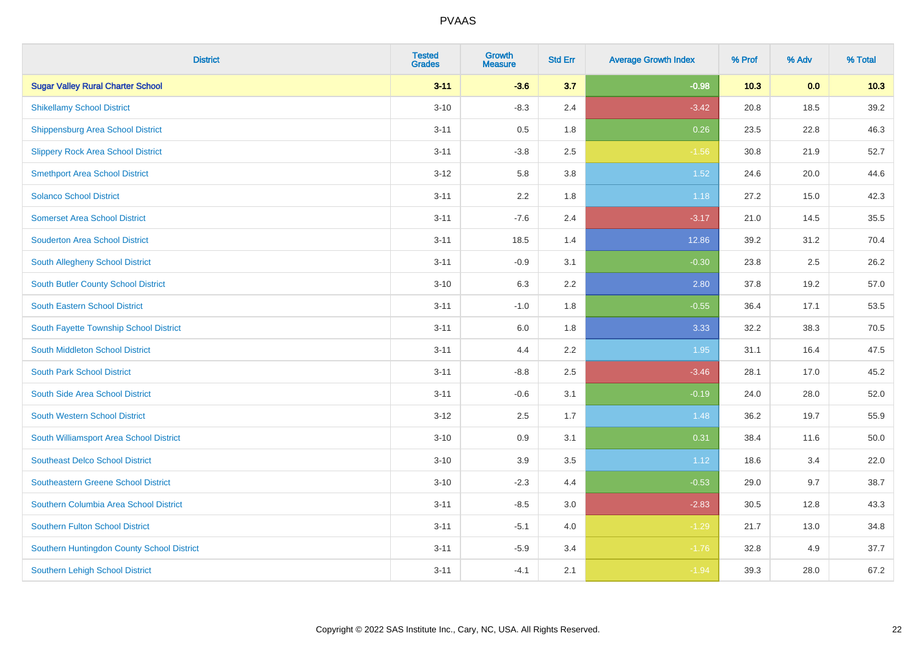| <b>District</b>                            | <b>Tested</b><br><b>Grades</b> | <b>Growth</b><br><b>Measure</b> | <b>Std Err</b> | <b>Average Growth Index</b> | % Prof | % Adv | % Total |
|--------------------------------------------|--------------------------------|---------------------------------|----------------|-----------------------------|--------|-------|---------|
| <b>Sugar Valley Rural Charter School</b>   | $3 - 11$                       | $-3.6$                          | 3.7            | $-0.98$                     | 10.3   | 0.0   | 10.3    |
| <b>Shikellamy School District</b>          | $3 - 10$                       | $-8.3$                          | 2.4            | $-3.42$                     | 20.8   | 18.5  | 39.2    |
| <b>Shippensburg Area School District</b>   | $3 - 11$                       | 0.5                             | 1.8            | 0.26                        | 23.5   | 22.8  | 46.3    |
| <b>Slippery Rock Area School District</b>  | $3 - 11$                       | $-3.8$                          | 2.5            | $-1.56$                     | 30.8   | 21.9  | 52.7    |
| <b>Smethport Area School District</b>      | $3 - 12$                       | 5.8                             | 3.8            | $1.52$                      | 24.6   | 20.0  | 44.6    |
| <b>Solanco School District</b>             | $3 - 11$                       | 2.2                             | 1.8            | 1.18                        | 27.2   | 15.0  | 42.3    |
| <b>Somerset Area School District</b>       | $3 - 11$                       | $-7.6$                          | 2.4            | $-3.17$                     | 21.0   | 14.5  | 35.5    |
| <b>Souderton Area School District</b>      | $3 - 11$                       | 18.5                            | 1.4            | 12.86                       | 39.2   | 31.2  | 70.4    |
| South Allegheny School District            | $3 - 11$                       | $-0.9$                          | 3.1            | $-0.30$                     | 23.8   | 2.5   | 26.2    |
| <b>South Butler County School District</b> | $3 - 10$                       | 6.3                             | 2.2            | 2.80                        | 37.8   | 19.2  | 57.0    |
| South Eastern School District              | $3 - 11$                       | $-1.0$                          | 1.8            | $-0.55$                     | 36.4   | 17.1  | 53.5    |
| South Fayette Township School District     | $3 - 11$                       | 6.0                             | 1.8            | 3.33                        | 32.2   | 38.3  | 70.5    |
| South Middleton School District            | $3 - 11$                       | 4.4                             | 2.2            | 1.95                        | 31.1   | 16.4  | 47.5    |
| <b>South Park School District</b>          | $3 - 11$                       | $-8.8$                          | 2.5            | $-3.46$                     | 28.1   | 17.0  | 45.2    |
| South Side Area School District            | $3 - 11$                       | $-0.6$                          | 3.1            | $-0.19$                     | 24.0   | 28.0  | 52.0    |
| <b>South Western School District</b>       | $3 - 12$                       | 2.5                             | 1.7            | 1.48                        | 36.2   | 19.7  | 55.9    |
| South Williamsport Area School District    | $3 - 10$                       | 0.9                             | 3.1            | 0.31                        | 38.4   | 11.6  | 50.0    |
| <b>Southeast Delco School District</b>     | $3 - 10$                       | 3.9                             | 3.5            | 1.12                        | 18.6   | 3.4   | 22.0    |
| Southeastern Greene School District        | $3 - 10$                       | $-2.3$                          | 4.4            | $-0.53$                     | 29.0   | 9.7   | 38.7    |
| Southern Columbia Area School District     | $3 - 11$                       | $-8.5$                          | 3.0            | $-2.83$                     | 30.5   | 12.8  | 43.3    |
| <b>Southern Fulton School District</b>     | $3 - 11$                       | $-5.1$                          | 4.0            | $-1.29$                     | 21.7   | 13.0  | 34.8    |
| Southern Huntingdon County School District | $3 - 11$                       | $-5.9$                          | 3.4            | $-1.76$                     | 32.8   | 4.9   | 37.7    |
| <b>Southern Lehigh School District</b>     | $3 - 11$                       | $-4.1$                          | 2.1            | $-1.94$                     | 39.3   | 28.0  | 67.2    |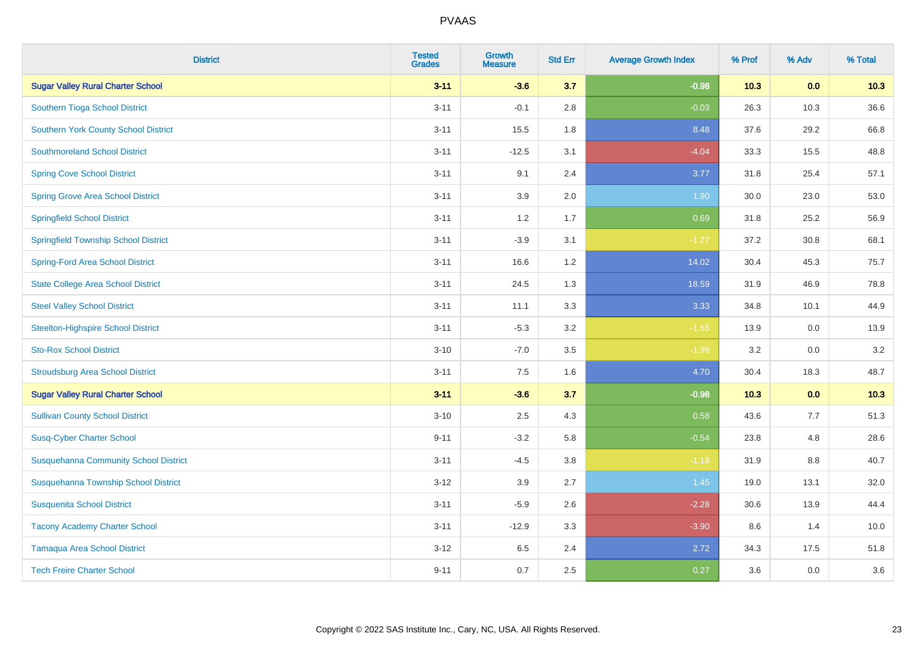| <b>District</b>                              | <b>Tested</b><br><b>Grades</b> | <b>Growth</b><br><b>Measure</b> | <b>Std Err</b> | <b>Average Growth Index</b> | % Prof | % Adv   | % Total |
|----------------------------------------------|--------------------------------|---------------------------------|----------------|-----------------------------|--------|---------|---------|
| <b>Sugar Valley Rural Charter School</b>     | $3 - 11$                       | $-3.6$                          | 3.7            | $-0.98$                     | 10.3   | 0.0     | 10.3    |
| Southern Tioga School District               | $3 - 11$                       | $-0.1$                          | 2.8            | $-0.03$                     | 26.3   | 10.3    | 36.6    |
| <b>Southern York County School District</b>  | $3 - 11$                       | 15.5                            | 1.8            | 8.48                        | 37.6   | 29.2    | 66.8    |
| <b>Southmoreland School District</b>         | $3 - 11$                       | $-12.5$                         | 3.1            | $-4.04$                     | 33.3   | 15.5    | 48.8    |
| <b>Spring Cove School District</b>           | $3 - 11$                       | 9.1                             | 2.4            | 3.77                        | 31.8   | 25.4    | 57.1    |
| <b>Spring Grove Area School District</b>     | $3 - 11$                       | 3.9                             | 2.0            | 1.90                        | 30.0   | 23.0    | 53.0    |
| <b>Springfield School District</b>           | $3 - 11$                       | 1.2                             | 1.7            | 0.69                        | 31.8   | 25.2    | 56.9    |
| <b>Springfield Township School District</b>  | $3 - 11$                       | $-3.9$                          | 3.1            | $-1.27$                     | 37.2   | 30.8    | 68.1    |
| <b>Spring-Ford Area School District</b>      | $3 - 11$                       | 16.6                            | 1.2            | 14.02                       | 30.4   | 45.3    | 75.7    |
| <b>State College Area School District</b>    | $3 - 11$                       | 24.5                            | 1.3            | 18.59                       | 31.9   | 46.9    | 78.8    |
| <b>Steel Valley School District</b>          | $3 - 11$                       | 11.1                            | 3.3            | 3.33                        | 34.8   | 10.1    | 44.9    |
| <b>Steelton-Highspire School District</b>    | $3 - 11$                       | $-5.3$                          | 3.2            | $-1.65$                     | 13.9   | 0.0     | 13.9    |
| <b>Sto-Rox School District</b>               | $3 - 10$                       | $-7.0$                          | 3.5            | $-1.99$                     | 3.2    | $0.0\,$ | 3.2     |
| <b>Stroudsburg Area School District</b>      | $3 - 11$                       | 7.5                             | 1.6            | 4.70                        | 30.4   | 18.3    | 48.7    |
| <b>Sugar Valley Rural Charter School</b>     | $3 - 11$                       | $-3.6$                          | 3.7            | $-0.98$                     | 10.3   | 0.0     | 10.3    |
| <b>Sullivan County School District</b>       | $3 - 10$                       | 2.5                             | 4.3            | 0.58                        | 43.6   | 7.7     | 51.3    |
| <b>Susq-Cyber Charter School</b>             | $9 - 11$                       | $-3.2$                          | 5.8            | $-0.54$                     | 23.8   | 4.8     | 28.6    |
| <b>Susquehanna Community School District</b> | $3 - 11$                       | $-4.5$                          | 3.8            | $-1.19$                     | 31.9   | 8.8     | 40.7    |
| Susquehanna Township School District         | $3 - 12$                       | 3.9                             | 2.7            | 1.45                        | 19.0   | 13.1    | 32.0    |
| <b>Susquenita School District</b>            | $3 - 11$                       | $-5.9$                          | 2.6            | $-2.28$                     | 30.6   | 13.9    | 44.4    |
| <b>Tacony Academy Charter School</b>         | $3 - 11$                       | $-12.9$                         | 3.3            | $-3.90$                     | 8.6    | 1.4     | 10.0    |
| <b>Tamaqua Area School District</b>          | $3 - 12$                       | 6.5                             | 2.4            | 2.72                        | 34.3   | 17.5    | 51.8    |
| <b>Tech Freire Charter School</b>            | $9 - 11$                       | 0.7                             | 2.5            | 0.27                        | 3.6    | 0.0     | 3.6     |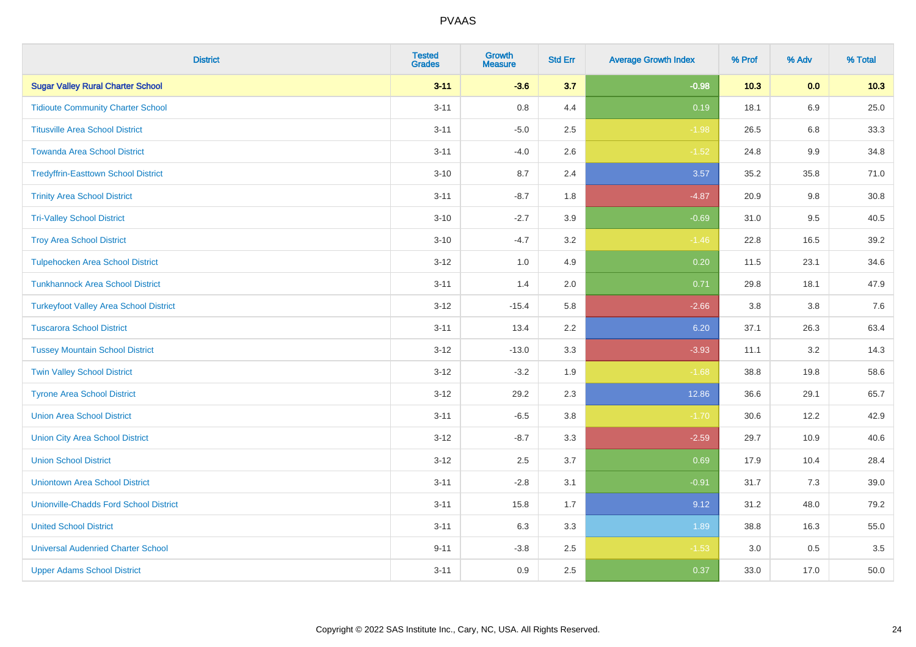| <b>District</b>                               | <b>Tested</b><br><b>Grades</b> | <b>Growth</b><br><b>Measure</b> | <b>Std Err</b> | <b>Average Growth Index</b> | % Prof | % Adv   | % Total |
|-----------------------------------------------|--------------------------------|---------------------------------|----------------|-----------------------------|--------|---------|---------|
| <b>Sugar Valley Rural Charter School</b>      | $3 - 11$                       | $-3.6$                          | 3.7            | $-0.98$                     | 10.3   | 0.0     | 10.3    |
| <b>Tidioute Community Charter School</b>      | $3 - 11$                       | $0.8\,$                         | 4.4            | 0.19                        | 18.1   | 6.9     | 25.0    |
| <b>Titusville Area School District</b>        | $3 - 11$                       | $-5.0$                          | 2.5            | $-1.98$                     | 26.5   | 6.8     | 33.3    |
| <b>Towanda Area School District</b>           | $3 - 11$                       | $-4.0$                          | 2.6            | $-1.52$                     | 24.8   | $9.9\,$ | 34.8    |
| <b>Tredyffrin-Easttown School District</b>    | $3 - 10$                       | 8.7                             | 2.4            | 3.57                        | 35.2   | 35.8    | 71.0    |
| <b>Trinity Area School District</b>           | $3 - 11$                       | $-8.7$                          | 1.8            | $-4.87$                     | 20.9   | 9.8     | 30.8    |
| <b>Tri-Valley School District</b>             | $3 - 10$                       | $-2.7$                          | 3.9            | $-0.69$                     | 31.0   | 9.5     | 40.5    |
| <b>Troy Area School District</b>              | $3 - 10$                       | $-4.7$                          | 3.2            | $-1.46$                     | 22.8   | 16.5    | 39.2    |
| <b>Tulpehocken Area School District</b>       | $3 - 12$                       | 1.0                             | 4.9            | 0.20                        | 11.5   | 23.1    | 34.6    |
| <b>Tunkhannock Area School District</b>       | $3 - 11$                       | 1.4                             | 2.0            | 0.71                        | 29.8   | 18.1    | 47.9    |
| <b>Turkeyfoot Valley Area School District</b> | $3 - 12$                       | $-15.4$                         | 5.8            | $-2.66$                     | 3.8    | 3.8     | 7.6     |
| <b>Tuscarora School District</b>              | $3 - 11$                       | 13.4                            | 2.2            | 6.20                        | 37.1   | 26.3    | 63.4    |
| <b>Tussey Mountain School District</b>        | $3 - 12$                       | $-13.0$                         | 3.3            | $-3.93$                     | 11.1   | $3.2\,$ | 14.3    |
| <b>Twin Valley School District</b>            | $3 - 12$                       | $-3.2$                          | 1.9            | $-1.68$                     | 38.8   | 19.8    | 58.6    |
| <b>Tyrone Area School District</b>            | $3 - 12$                       | 29.2                            | 2.3            | 12.86                       | 36.6   | 29.1    | 65.7    |
| <b>Union Area School District</b>             | $3 - 11$                       | $-6.5$                          | 3.8            | $-1.70$                     | 30.6   | 12.2    | 42.9    |
| <b>Union City Area School District</b>        | $3 - 12$                       | $-8.7$                          | 3.3            | $-2.59$                     | 29.7   | 10.9    | 40.6    |
| <b>Union School District</b>                  | $3 - 12$                       | 2.5                             | 3.7            | 0.69                        | 17.9   | 10.4    | 28.4    |
| <b>Uniontown Area School District</b>         | $3 - 11$                       | $-2.8$                          | 3.1            | $-0.91$                     | 31.7   | 7.3     | 39.0    |
| <b>Unionville-Chadds Ford School District</b> | $3 - 11$                       | 15.8                            | 1.7            | 9.12                        | 31.2   | 48.0    | 79.2    |
| <b>United School District</b>                 | $3 - 11$                       | 6.3                             | 3.3            | 1.89                        | 38.8   | 16.3    | 55.0    |
| <b>Universal Audenried Charter School</b>     | $9 - 11$                       | $-3.8$                          | 2.5            | $-1.53$                     | 3.0    | 0.5     | 3.5     |
| <b>Upper Adams School District</b>            | $3 - 11$                       | 0.9                             | 2.5            | 0.37                        | 33.0   | 17.0    | 50.0    |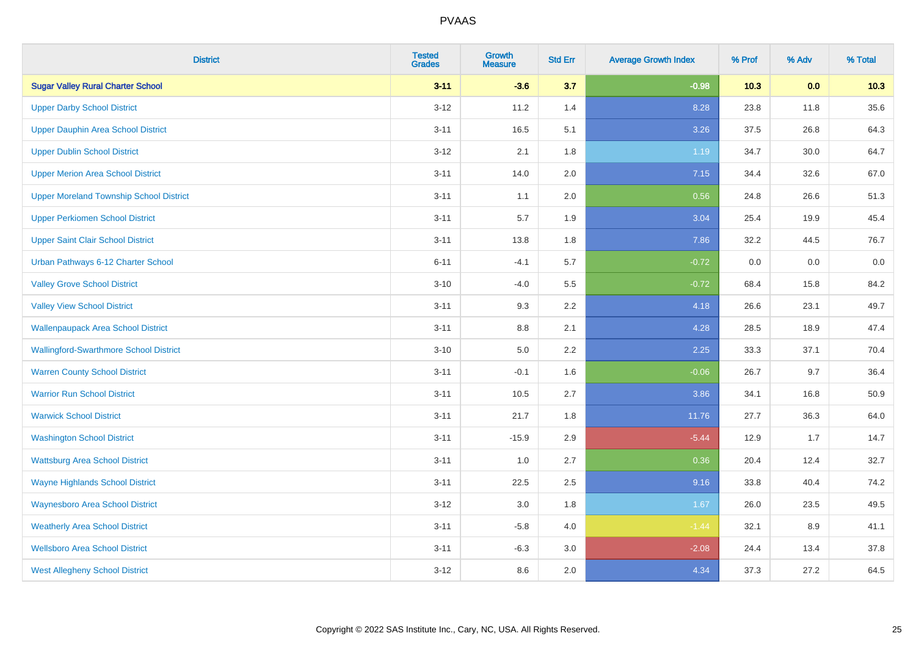| <b>District</b>                                | <b>Tested</b><br><b>Grades</b> | <b>Growth</b><br><b>Measure</b> | <b>Std Err</b> | <b>Average Growth Index</b> | % Prof | % Adv | % Total |
|------------------------------------------------|--------------------------------|---------------------------------|----------------|-----------------------------|--------|-------|---------|
| <b>Sugar Valley Rural Charter School</b>       | $3 - 11$                       | $-3.6$                          | 3.7            | $-0.98$                     | 10.3   | 0.0   | 10.3    |
| <b>Upper Darby School District</b>             | $3-12$                         | 11.2                            | 1.4            | 8.28                        | 23.8   | 11.8  | 35.6    |
| Upper Dauphin Area School District             | $3 - 11$                       | 16.5                            | 5.1            | 3.26                        | 37.5   | 26.8  | 64.3    |
| <b>Upper Dublin School District</b>            | $3 - 12$                       | 2.1                             | 1.8            | 1.19                        | 34.7   | 30.0  | 64.7    |
| <b>Upper Merion Area School District</b>       | $3 - 11$                       | 14.0                            | 2.0            | 7.15                        | 34.4   | 32.6  | 67.0    |
| <b>Upper Moreland Township School District</b> | $3 - 11$                       | 1.1                             | 2.0            | 0.56                        | 24.8   | 26.6  | 51.3    |
| <b>Upper Perkiomen School District</b>         | $3 - 11$                       | 5.7                             | 1.9            | 3.04                        | 25.4   | 19.9  | 45.4    |
| <b>Upper Saint Clair School District</b>       | $3 - 11$                       | 13.8                            | 1.8            | 7.86                        | 32.2   | 44.5  | 76.7    |
| Urban Pathways 6-12 Charter School             | $6 - 11$                       | $-4.1$                          | 5.7            | $-0.72$                     | 0.0    | 0.0   | 0.0     |
| <b>Valley Grove School District</b>            | $3 - 10$                       | $-4.0$                          | 5.5            | $-0.72$                     | 68.4   | 15.8  | 84.2    |
| <b>Valley View School District</b>             | $3 - 11$                       | 9.3                             | 2.2            | 4.18                        | 26.6   | 23.1  | 49.7    |
| <b>Wallenpaupack Area School District</b>      | $3 - 11$                       | $8.8\,$                         | 2.1            | 4.28                        | 28.5   | 18.9  | 47.4    |
| <b>Wallingford-Swarthmore School District</b>  | $3 - 10$                       | $5.0\,$                         | 2.2            | 2.25                        | 33.3   | 37.1  | 70.4    |
| <b>Warren County School District</b>           | $3 - 11$                       | $-0.1$                          | 1.6            | $-0.06$                     | 26.7   | 9.7   | 36.4    |
| <b>Warrior Run School District</b>             | $3 - 11$                       | 10.5                            | 2.7            | 3.86                        | 34.1   | 16.8  | 50.9    |
| <b>Warwick School District</b>                 | $3 - 11$                       | 21.7                            | 1.8            | 11.76                       | 27.7   | 36.3  | 64.0    |
| <b>Washington School District</b>              | $3 - 11$                       | $-15.9$                         | 2.9            | $-5.44$                     | 12.9   | 1.7   | 14.7    |
| <b>Wattsburg Area School District</b>          | $3 - 11$                       | 1.0                             | 2.7            | 0.36                        | 20.4   | 12.4  | 32.7    |
| <b>Wayne Highlands School District</b>         | $3 - 11$                       | 22.5                            | 2.5            | 9.16                        | 33.8   | 40.4  | 74.2    |
| <b>Waynesboro Area School District</b>         | $3 - 12$                       | $3.0\,$                         | 1.8            | 1.67                        | 26.0   | 23.5  | 49.5    |
| <b>Weatherly Area School District</b>          | $3 - 11$                       | $-5.8$                          | 4.0            | $-1.44$                     | 32.1   | 8.9   | 41.1    |
| <b>Wellsboro Area School District</b>          | $3 - 11$                       | $-6.3$                          | 3.0            | $-2.08$                     | 24.4   | 13.4  | 37.8    |
| <b>West Allegheny School District</b>          | $3 - 12$                       | 8.6                             | 2.0            | 4.34                        | 37.3   | 27.2  | 64.5    |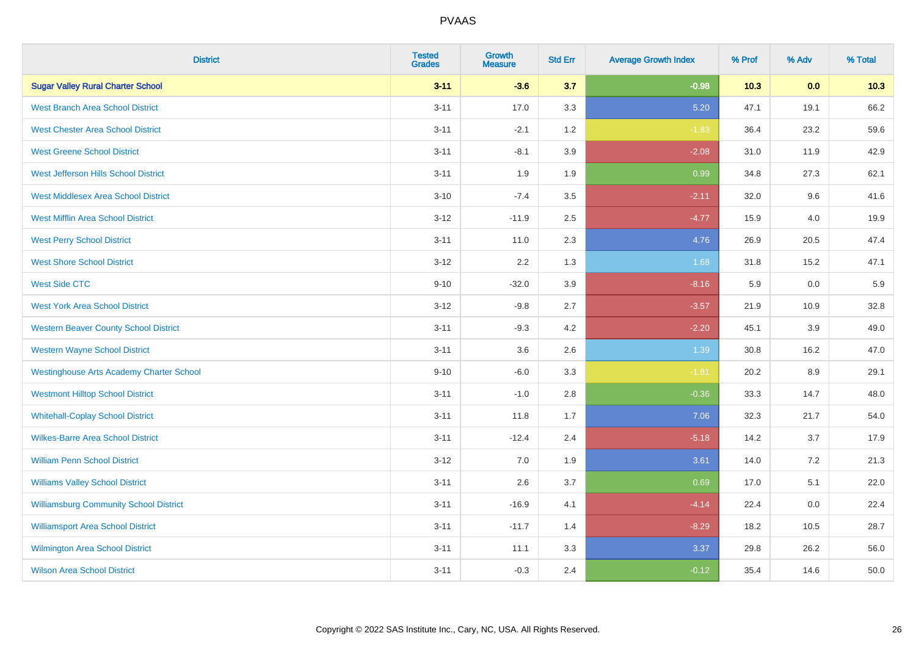| <b>District</b>                                 | <b>Tested</b><br><b>Grades</b> | <b>Growth</b><br><b>Measure</b> | <b>Std Err</b> | <b>Average Growth Index</b> | % Prof | % Adv | % Total |
|-------------------------------------------------|--------------------------------|---------------------------------|----------------|-----------------------------|--------|-------|---------|
| <b>Sugar Valley Rural Charter School</b>        | $3 - 11$                       | $-3.6$                          | 3.7            | $-0.98$                     | 10.3   | 0.0   | 10.3    |
| <b>West Branch Area School District</b>         | $3 - 11$                       | 17.0                            | 3.3            | 5.20                        | 47.1   | 19.1  | 66.2    |
| <b>West Chester Area School District</b>        | $3 - 11$                       | $-2.1$                          | 1.2            | $-1.83$                     | 36.4   | 23.2  | 59.6    |
| <b>West Greene School District</b>              | $3 - 11$                       | $-8.1$                          | 3.9            | $-2.08$                     | 31.0   | 11.9  | 42.9    |
| West Jefferson Hills School District            | $3 - 11$                       | 1.9                             | 1.9            | 0.99                        | 34.8   | 27.3  | 62.1    |
| <b>West Middlesex Area School District</b>      | $3 - 10$                       | $-7.4$                          | 3.5            | $-2.11$                     | 32.0   | 9.6   | 41.6    |
| <b>West Mifflin Area School District</b>        | $3 - 12$                       | $-11.9$                         | 2.5            | $-4.77$                     | 15.9   | 4.0   | 19.9    |
| <b>West Perry School District</b>               | $3 - 11$                       | 11.0                            | 2.3            | 4.76                        | 26.9   | 20.5  | 47.4    |
| <b>West Shore School District</b>               | $3 - 12$                       | 2.2                             | 1.3            | 1.68                        | 31.8   | 15.2  | 47.1    |
| <b>West Side CTC</b>                            | $9 - 10$                       | $-32.0$                         | 3.9            | $-8.16$                     | 5.9    | 0.0   | 5.9     |
| <b>West York Area School District</b>           | $3 - 12$                       | $-9.8$                          | 2.7            | $-3.57$                     | 21.9   | 10.9  | 32.8    |
| <b>Western Beaver County School District</b>    | $3 - 11$                       | $-9.3$                          | 4.2            | $-2.20$                     | 45.1   | 3.9   | 49.0    |
| <b>Western Wayne School District</b>            | $3 - 11$                       | 3.6                             | 2.6            | 1.39                        | 30.8   | 16.2  | 47.0    |
| <b>Westinghouse Arts Academy Charter School</b> | $9 - 10$                       | $-6.0$                          | 3.3            | $-1.81$                     | 20.2   | 8.9   | 29.1    |
| <b>Westmont Hilltop School District</b>         | $3 - 11$                       | $-1.0$                          | 2.8            | $-0.36$                     | 33.3   | 14.7  | 48.0    |
| <b>Whitehall-Coplay School District</b>         | $3 - 11$                       | 11.8                            | 1.7            | 7.06                        | 32.3   | 21.7  | 54.0    |
| <b>Wilkes-Barre Area School District</b>        | $3 - 11$                       | $-12.4$                         | 2.4            | $-5.18$                     | 14.2   | 3.7   | 17.9    |
| <b>William Penn School District</b>             | $3 - 12$                       | 7.0                             | 1.9            | 3.61                        | 14.0   | 7.2   | 21.3    |
| <b>Williams Valley School District</b>          | $3 - 11$                       | 2.6                             | 3.7            | 0.69                        | 17.0   | 5.1   | 22.0    |
| <b>Williamsburg Community School District</b>   | $3 - 11$                       | $-16.9$                         | 4.1            | $-4.14$                     | 22.4   | 0.0   | 22.4    |
| <b>Williamsport Area School District</b>        | $3 - 11$                       | $-11.7$                         | 1.4            | $-8.29$                     | 18.2   | 10.5  | 28.7    |
| <b>Wilmington Area School District</b>          | $3 - 11$                       | 11.1                            | 3.3            | 3.37                        | 29.8   | 26.2  | 56.0    |
| <b>Wilson Area School District</b>              | $3 - 11$                       | $-0.3$                          | 2.4            | $-0.12$                     | 35.4   | 14.6  | 50.0    |